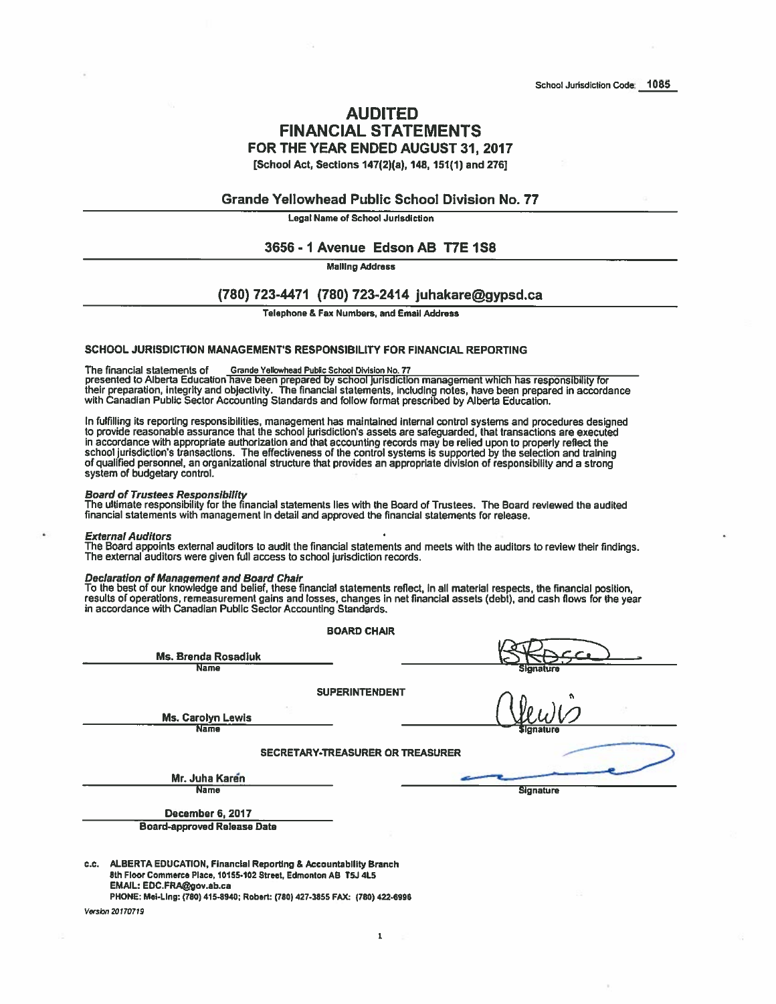#### **AUDITED FINANCIAL STATEMENTS** FOR THE YEAR ENDED AUGUST 31, 2017 [School Act, Sections 147(2)(a), 148, 151(1) and 276]

#### Grande Yellowhead Public School Division No. 77

**Legal Name of School Jurisdiction** 

#### 3656 - 1 Avenue Edson AB T7E 1S8

**Malling Address** 

#### (780) 723-4471 (780) 723-2414 juhakare@gypsd.ca

**Telephone & Fax Numbers, and Email Address** 

#### SCHOOL JURISDICTION MANAGEMENT'S RESPONSIBILITY FOR FINANCIAL REPORTING

The financial statements of Grande Yellowhead Public School Division No. 77<br>presented to Alberta Education have been prepared by school jurisdiction management which has responsibility for<br>their preparation, integrity and

In fulfilling its reporting responsibilities, management has maintained internal control systems and procedures designed to provide reasonable assurance that the school jurisdiction's assets are safeguarded, that transactions are executed<br>in accordance with appropriate authorization and that accounting records may be relied upon to properly system of budgetary control.

#### **Board of Trustees Responsibility**

The ultimate responsibility for the financial statements lies with the Board of Trustees. The Board reviewed the audited financial statements with management in detail and approved the financial statements for release.

#### **External Auditors**

External About and appoints external auditors to audit the financial statements and meets with the auditors to review their findings.<br>The Board appoints external auditors to achool jurisdiction records.

Declaration of Management and Board Chair<br>To the best of our knowledge and belief, these financial statements reflect, in all material respects, the financial position, results of operations, remeasurement gains and losses, changes in net financial assets (debt), and cash flows for the year<br>in accordance with Canadian Public Sector Accounting Standards.

**BOARD CHAIR Ms. Brenda Rosadiuk Name SUPERINTENDENT** Ms. Carolyn Lewis Name SECRETARY-TREASURER OR TREASURER Mr. Juha Karen **Name Signature** December 6, 2017 **Board-approved Release Date** c.c. ALBERTA EDUCATION, Financial Reporting & Accountability Branch 8th Floor Commerce Place, 10155-102 Street, Edmonton AB T5J 4L5 EMAIL: EDC.FRA@gov.ab.ca PHONE: Mei-Ling: (780) 415-8940; Robert: (780) 427-3855 FAX: (780) 422-6996

Version 20170719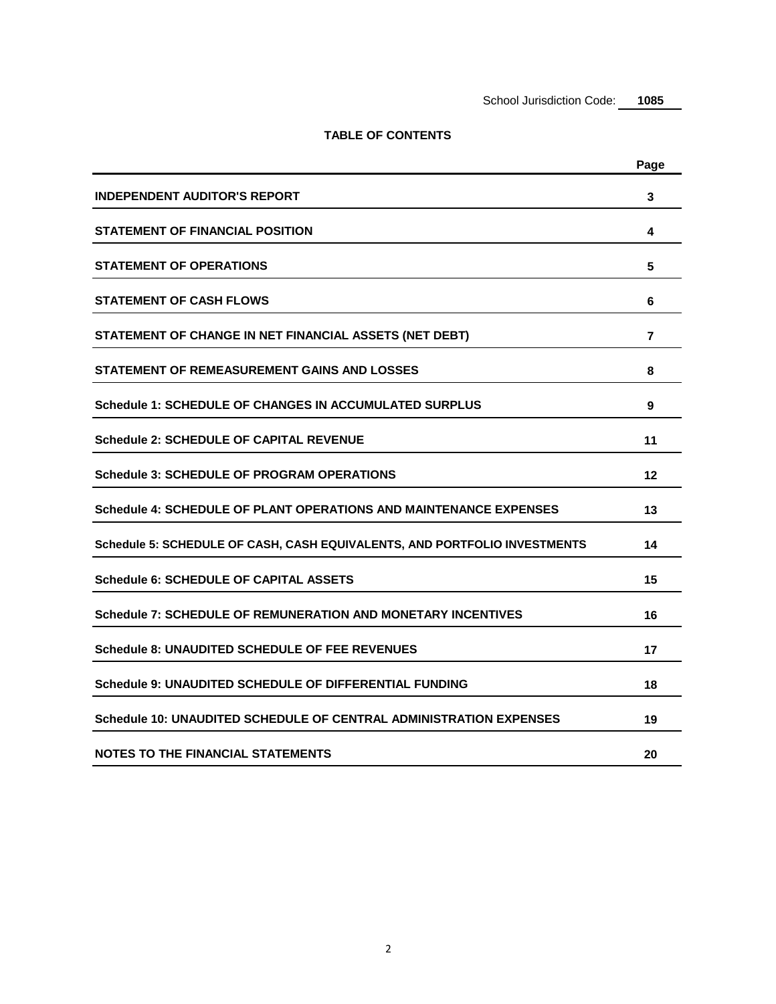#### **TABLE OF CONTENTS**

|                                                                           | Page |
|---------------------------------------------------------------------------|------|
| <b>INDEPENDENT AUDITOR'S REPORT</b>                                       | 3    |
| <b>STATEMENT OF FINANCIAL POSITION</b>                                    | 4    |
| <b>STATEMENT OF OPERATIONS</b>                                            | 5    |
| <b>STATEMENT OF CASH FLOWS</b>                                            | 6    |
| STATEMENT OF CHANGE IN NET FINANCIAL ASSETS (NET DEBT)                    | 7    |
| <b>STATEMENT OF REMEASUREMENT GAINS AND LOSSES</b>                        | 8    |
| Schedule 1: SCHEDULE OF CHANGES IN ACCUMULATED SURPLUS                    | 9    |
| <b>Schedule 2: SCHEDULE OF CAPITAL REVENUE</b>                            | 11   |
| <b>Schedule 3: SCHEDULE OF PROGRAM OPERATIONS</b>                         | 12   |
| Schedule 4: SCHEDULE OF PLANT OPERATIONS AND MAINTENANCE EXPENSES         | 13   |
| Schedule 5: SCHEDULE OF CASH, CASH EQUIVALENTS, AND PORTFOLIO INVESTMENTS | 14   |
| Schedule 6: SCHEDULE OF CAPITAL ASSETS                                    | 15   |
| Schedule 7: SCHEDULE OF REMUNERATION AND MONETARY INCENTIVES              | 16   |
| Schedule 8: UNAUDITED SCHEDULE OF FEE REVENUES                            | 17   |
| Schedule 9: UNAUDITED SCHEDULE OF DIFFERENTIAL FUNDING                    | 18   |
| Schedule 10: UNAUDITED SCHEDULE OF CENTRAL ADMINISTRATION EXPENSES        | 19   |
| <b>NOTES TO THE FINANCIAL STATEMENTS</b>                                  | 20   |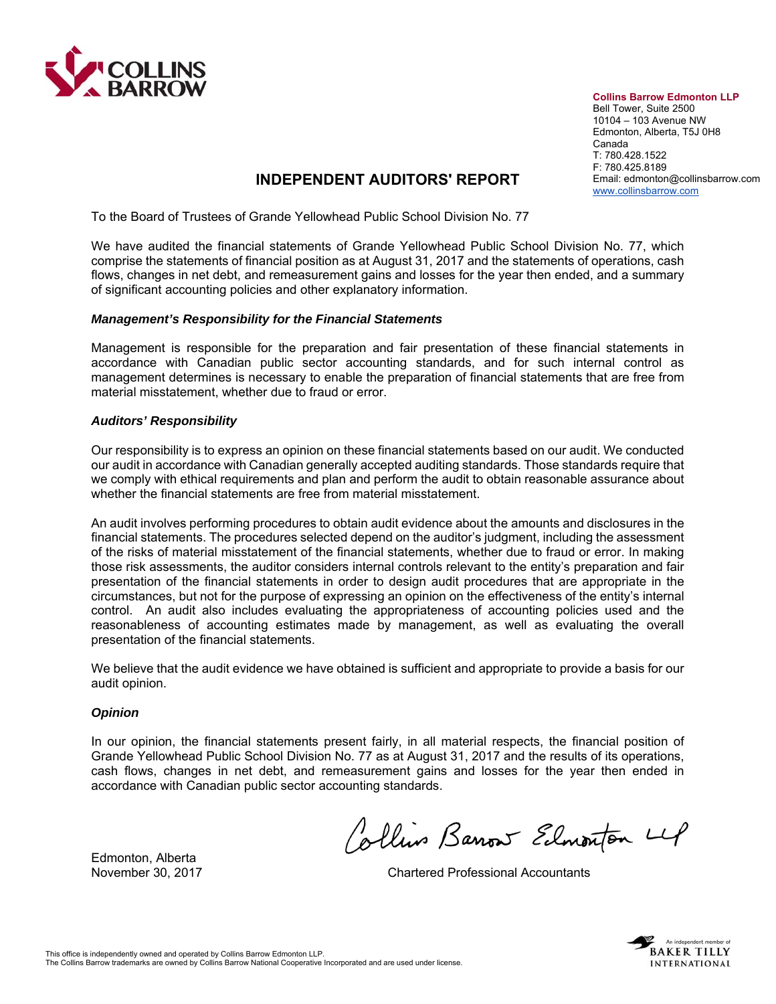

**Collins Barrow Edmonton LLP** 

Bell Tower, Suite 2500 10104 – 103 Avenue NW Edmonton, Alberta, T5J 0H8 Canada T: 780.428.1522 F: 780.425.8189 Email: edmonton@collinsbarrow.com www.collinsbarrow.com

# **INDEPENDENT AUDITORS' REPORT**

To the Board of Trustees of Grande Yellowhead Public School Division No. 77

We have audited the financial statements of Grande Yellowhead Public School Division No. 77, which comprise the statements of financial position as at August 31, 2017 and the statements of operations, cash flows, changes in net debt, and remeasurement gains and losses for the year then ended, and a summary of significant accounting policies and other explanatory information.

#### *Management's Responsibility for the Financial Statements*

Management is responsible for the preparation and fair presentation of these financial statements in accordance with Canadian public sector accounting standards, and for such internal control as management determines is necessary to enable the preparation of financial statements that are free from material misstatement, whether due to fraud or error.

#### *Auditors' Responsibility*

Our responsibility is to express an opinion on these financial statements based on our audit. We conducted our audit in accordance with Canadian generally accepted auditing standards. Those standards require that we comply with ethical requirements and plan and perform the audit to obtain reasonable assurance about whether the financial statements are free from material misstatement.

An audit involves performing procedures to obtain audit evidence about the amounts and disclosures in the financial statements. The procedures selected depend on the auditor's judgment, including the assessment of the risks of material misstatement of the financial statements, whether due to fraud or error. In making those risk assessments, the auditor considers internal controls relevant to the entity's preparation and fair presentation of the financial statements in order to design audit procedures that are appropriate in the circumstances, but not for the purpose of expressing an opinion on the effectiveness of the entity's internal control. An audit also includes evaluating the appropriateness of accounting policies used and the reasonableness of accounting estimates made by management, as well as evaluating the overall presentation of the financial statements.

We believe that the audit evidence we have obtained is sufficient and appropriate to provide a basis for our audit opinion.

#### *Opinion*

In our opinion, the financial statements present fairly, in all material respects, the financial position of Grande Yellowhead Public School Division No. 77 as at August 31, 2017 and the results of its operations, cash flows, changes in net debt, and remeasurement gains and losses for the year then ended in accordance with Canadian public sector accounting standards.

Collins Barrow Edmonton 4

Edmonton, Alberta

November 30, 2017 Chartered Professional Accountants

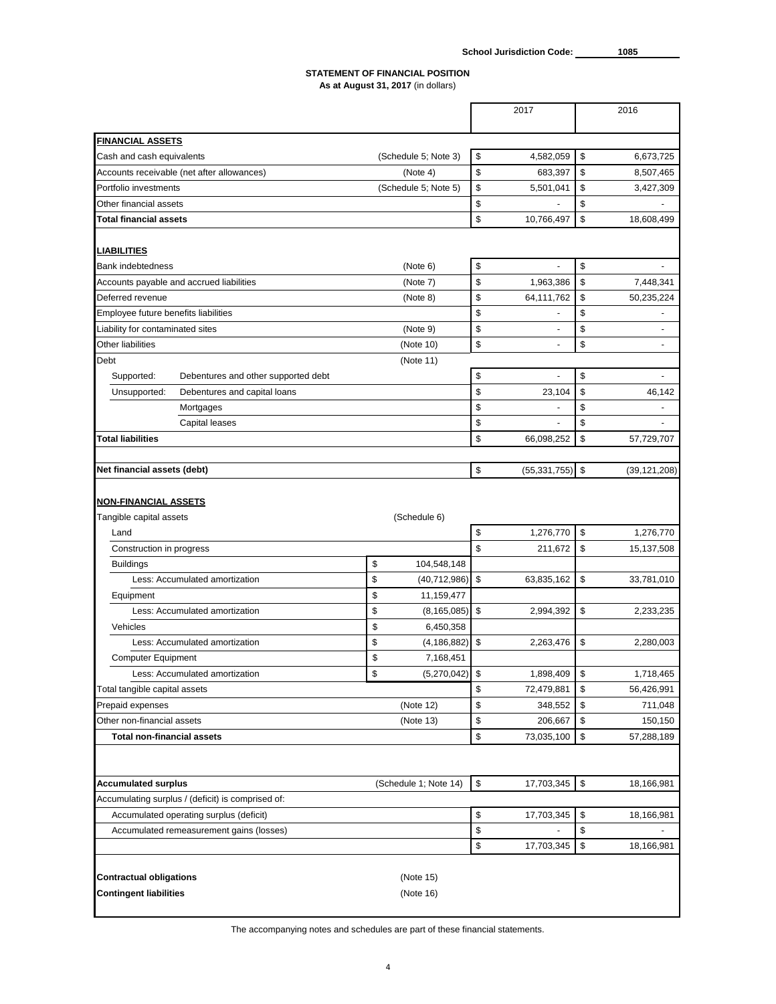#### **As at August 31, 2017** (in dollars) **STATEMENT OF FINANCIAL POSITION**

|                                                        |                                                   |           |                       | 2017                           | 2016                           |
|--------------------------------------------------------|---------------------------------------------------|-----------|-----------------------|--------------------------------|--------------------------------|
|                                                        |                                                   |           |                       |                                |                                |
| <b>FINANCIAL ASSETS</b>                                |                                                   |           |                       |                                |                                |
| Cash and cash equivalents                              |                                                   |           | (Schedule 5; Note 3)  | \$<br>4,582,059                | \$<br>6,673,725                |
|                                                        | Accounts receivable (net after allowances)        |           | (Note 4)              | \$<br>683,397                  | \$<br>8,507,465                |
| Portfolio investments                                  |                                                   |           | (Schedule 5; Note 5)  | \$<br>5,501,041                | \$<br>3,427,309                |
| Other financial assets                                 |                                                   |           |                       | \$                             | \$                             |
| <b>Total financial assets</b>                          |                                                   |           |                       | \$<br>10,766,497               | \$<br>18,608,499               |
| <b>LIABILITIES</b>                                     |                                                   |           |                       |                                |                                |
| <b>Bank indebtedness</b>                               |                                                   |           | (Note 6)              | \$<br>$\sim$                   | \$<br>$\overline{\phantom{a}}$ |
|                                                        | Accounts payable and accrued liabilities          |           | (Note 7)              | \$<br>1,963,386                | \$<br>7,448,341                |
| Deferred revenue                                       |                                                   |           | (Note 8)              | \$<br>64,111,762               | \$<br>50,235,224               |
| Employee future benefits liabilities                   |                                                   |           |                       | \$<br>$\blacksquare$           | \$                             |
| Liability for contaminated sites                       |                                                   |           | (Note 9)              | \$<br>$\overline{\phantom{a}}$ | \$<br>$\overline{a}$           |
| Other liabilities                                      |                                                   |           | (Note 10)             | \$                             | \$<br>$\blacksquare$           |
| Debt                                                   |                                                   |           | (Note 11)             |                                |                                |
| Supported:                                             | Debentures and other supported debt               |           |                       | \$                             | \$                             |
| Unsupported:                                           | Debentures and capital loans                      |           |                       | \$<br>23.104                   | \$<br>46.142                   |
|                                                        | Mortgages                                         |           |                       | \$<br>ä,                       | \$                             |
|                                                        | Capital leases                                    |           |                       | \$                             | \$                             |
| <b>Total liabilities</b>                               |                                                   |           |                       | \$<br>66,098,252               | \$<br>57,729,707               |
|                                                        |                                                   |           |                       |                                |                                |
| Net financial assets (debt)                            |                                                   |           |                       | \$<br>$(55, 331, 755)$ \$      | (39, 121, 208)                 |
| <b>NON-FINANCIAL ASSETS</b><br>Tangible capital assets |                                                   |           | (Schedule 6)          |                                |                                |
| Land                                                   |                                                   |           |                       | \$<br>1,276,770                | \$<br>1,276,770                |
| Construction in progress                               |                                                   |           |                       | \$<br>211,672                  | \$<br>15,137,508               |
| <b>Buildings</b>                                       |                                                   | \$        | 104,548,148           |                                |                                |
|                                                        | Less: Accumulated amortization                    | \$        | (40, 712, 986)        | \$<br>63,835,162               | \$<br>33,781,010               |
| Equipment                                              |                                                   | \$        | 11,159,477            |                                |                                |
|                                                        | Less: Accumulated amortization                    | \$        | (8, 165, 085)         | \$<br>2,994,392                | \$<br>2,233,235                |
| Vehicles                                               |                                                   | \$        | 6,450,358             |                                |                                |
|                                                        | Less: Accumulated amortization                    | \$        | (4, 186, 882)         | \$<br>2,263,476                | \$<br>2,280,003                |
| <b>Computer Equipment</b>                              |                                                   | \$        | 7,168,451             |                                |                                |
|                                                        | Less: Accumulated amortization                    | \$        | (5,270,042)           | \$<br>1,898,409                | \$<br>1,718,465                |
| Total tangible capital assets                          |                                                   |           |                       | \$<br>72,479,881               | \$<br>56,426,991               |
| Prepaid expenses                                       |                                                   |           | (Note 12)             | \$<br>348,552                  | \$<br>711,048                  |
| Other non-financial assets                             |                                                   |           | (Note 13)             | \$<br>206,667                  | \$<br>150,150                  |
| <b>Total non-financial assets</b>                      |                                                   |           |                       | \$<br>73,035,100               | \$<br>57,288,189               |
|                                                        |                                                   |           |                       |                                |                                |
| <b>Accumulated surplus</b>                             |                                                   |           | (Schedule 1; Note 14) | \$<br>17,703,345               | \$<br>18,166,981               |
|                                                        | Accumulating surplus / (deficit) is comprised of: |           |                       |                                |                                |
|                                                        | Accumulated operating surplus (deficit)           |           |                       | \$<br>17,703,345               | \$<br>18,166,981               |
|                                                        | Accumulated remeasurement gains (losses)          |           |                       | \$                             | \$                             |
|                                                        |                                                   |           |                       | \$<br>17,703,345               | \$<br>18,166,981               |
|                                                        |                                                   |           |                       |                                |                                |
| <b>Contractual obligations</b>                         |                                                   |           | (Note 15)             |                                |                                |
| <b>Contingent liabilities</b>                          |                                                   | (Note 16) |                       |                                |                                |
|                                                        |                                                   |           |                       |                                |                                |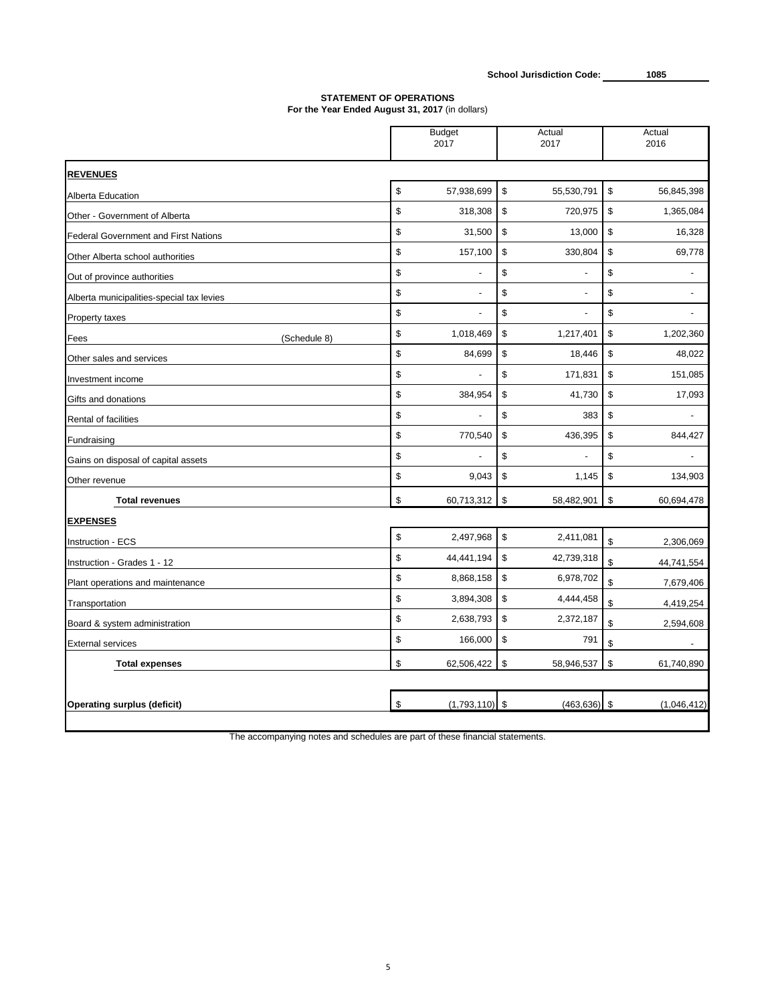**School Jurisdiction Code: 1085**

#### **STATEMENT OF OPERATIONS**

**For the Year Ended August 31, 2017** (in dollars)

|                                             | <b>Budget</b><br>2017 | Actual<br>2017       | Actual<br>2016    |
|---------------------------------------------|-----------------------|----------------------|-------------------|
| <b>REVENUES</b>                             |                       |                      |                   |
| <b>Alberta Education</b>                    | \$<br>57,938,699      | \$<br>55,530,791     | \$<br>56,845,398  |
| Other - Government of Alberta               | \$<br>318,308         | \$<br>720,975        | \$<br>1,365,084   |
| <b>Federal Government and First Nations</b> | \$<br>31,500          | \$<br>13,000         | \$<br>16,328      |
| Other Alberta school authorities            | \$<br>157,100         | \$<br>330,804        | \$<br>69,778      |
| Out of province authorities                 | \$                    | \$<br>$\overline{a}$ | \$<br>÷,          |
| Alberta municipalities-special tax levies   | \$                    | \$                   | \$                |
| <b>Property taxes</b>                       | \$                    | \$                   | \$                |
| (Schedule 8)<br>Fees                        | \$<br>1,018,469       | \$<br>1,217,401      | \$<br>1,202,360   |
| Other sales and services                    | \$<br>84,699          | \$<br>18,446         | \$<br>48,022      |
| Investment income                           | \$                    | \$<br>171,831        | \$<br>151,085     |
| Gifts and donations                         | \$<br>384,954         | \$<br>41,730         | \$<br>17,093      |
| Rental of facilities                        | \$<br>$\overline{a}$  | \$<br>383            | \$                |
| Fundraising                                 | \$<br>770,540         | \$<br>436,395        | \$<br>844,427     |
| Gains on disposal of capital assets         | \$                    | \$                   | \$                |
| Other revenue                               | \$<br>9,043           | \$<br>1,145          | \$<br>134,903     |
| <b>Total revenues</b>                       | \$<br>60,713,312      | \$<br>58,482,901     | \$<br>60,694,478  |
| <b>EXPENSES</b>                             |                       |                      |                   |
| <b>Instruction - ECS</b>                    | \$<br>2,497,968       | \$<br>2,411,081      | \$<br>2,306,069   |
| Instruction - Grades 1 - 12                 | \$<br>44,441,194      | \$<br>42,739,318     | \$<br>44,741,554  |
| Plant operations and maintenance            | \$<br>8,868,158       | \$<br>6,978,702      | \$<br>7,679,406   |
| Transportation                              | \$<br>3,894,308       | \$<br>4,444,458      | \$<br>4,419,254   |
| Board & system administration               | \$<br>2,638,793       | \$<br>2,372,187      | \$<br>2,594,608   |
| <b>External services</b>                    | \$<br>166,000         | \$<br>791            | \$                |
| <b>Total expenses</b>                       | \$<br>62,506,422      | \$<br>58,946,537     | \$<br>61,740,890  |
|                                             |                       |                      |                   |
| <b>Operating surplus (deficit)</b>          | \$<br>(1,793,110)     | \$<br>(463, 636)     | \$<br>(1,046,412) |
|                                             |                       |                      |                   |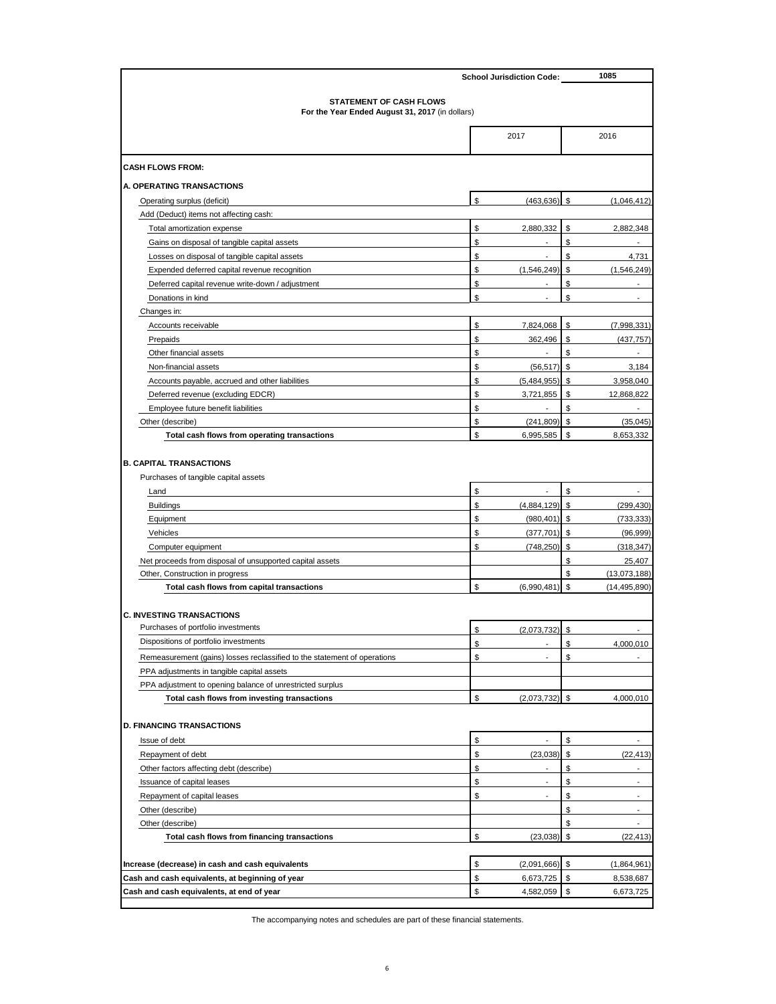|                                                                                                                        |          | <b>School Jurisdiction Code:</b> |          | 1085                                                                                                                                                                            |
|------------------------------------------------------------------------------------------------------------------------|----------|----------------------------------|----------|---------------------------------------------------------------------------------------------------------------------------------------------------------------------------------|
|                                                                                                                        |          |                                  |          |                                                                                                                                                                                 |
| <b>STATEMENT OF CASH FLOWS</b><br>For the Year Ended August 31, 2017 (in dollars)                                      |          |                                  |          |                                                                                                                                                                                 |
|                                                                                                                        |          | 2017                             |          | 2016                                                                                                                                                                            |
| <b>CASH FLOWS FROM:</b>                                                                                                |          |                                  |          |                                                                                                                                                                                 |
| A. OPERATING TRANSACTIONS                                                                                              |          |                                  |          |                                                                                                                                                                                 |
| Operating surplus (deficit)                                                                                            | \$       | $(463, 636)$ \$                  |          | (1,046,412)                                                                                                                                                                     |
| Add (Deduct) items not affecting cash:                                                                                 |          |                                  |          |                                                                                                                                                                                 |
| Total amortization expense                                                                                             | \$       | 2,880,332                        | \$       | 2,882,348                                                                                                                                                                       |
| Gains on disposal of tangible capital assets                                                                           | \$       |                                  | \$       |                                                                                                                                                                                 |
| Losses on disposal of tangible capital assets                                                                          | \$       | $\overline{a}$                   | \$       | 4,731                                                                                                                                                                           |
| Expended deferred capital revenue recognition                                                                          | \$       | (1,546,249)                      | \$       | (1,546,249)                                                                                                                                                                     |
| Deferred capital revenue write-down / adjustment                                                                       | \$       |                                  | \$       |                                                                                                                                                                                 |
| Donations in kind                                                                                                      | \$       |                                  | \$       |                                                                                                                                                                                 |
| Changes in:                                                                                                            |          |                                  |          |                                                                                                                                                                                 |
| Accounts receivable                                                                                                    | \$       | 7,824,068                        | \$       | (7,998,331)                                                                                                                                                                     |
| Prepaids                                                                                                               | \$       | 362,496                          | \$       | (437, 757)                                                                                                                                                                      |
| Other financial assets                                                                                                 | \$       |                                  | \$       | $\overline{\phantom{a}}$                                                                                                                                                        |
| Non-financial assets                                                                                                   | \$       | (56, 517)                        | \$       | 3,184                                                                                                                                                                           |
| Accounts payable, accrued and other liabilities                                                                        | \$       | (5,484,955)                      | \$       | 3,958,040                                                                                                                                                                       |
| Deferred revenue (excluding EDCR)                                                                                      | \$       | 3,721,855                        | \$       | 12,868,822                                                                                                                                                                      |
| Employee future benefit liabilities                                                                                    | \$       | $\blacksquare$                   | \$       | $\overline{a}$                                                                                                                                                                  |
| Other (describe)                                                                                                       | \$       | (241, 809)                       | \$       | (35,045)                                                                                                                                                                        |
|                                                                                                                        | \$       | 6,995,585                        | \$       | 8,653,332                                                                                                                                                                       |
| Total cash flows from operating transactions<br><b>B. CAPITAL TRANSACTIONS</b><br>Purchases of tangible capital assets |          |                                  |          |                                                                                                                                                                                 |
| Land                                                                                                                   | \$<br>\$ | (4,884,129)                      | \$<br>\$ |                                                                                                                                                                                 |
| <b>Buildings</b><br>Equipment                                                                                          | \$       | $(980, 401)$ \$                  |          |                                                                                                                                                                                 |
| Vehicles                                                                                                               | \$       | (377, 701)                       | \$       |                                                                                                                                                                                 |
| Computer equipment                                                                                                     | \$       | (748, 250)                       | \$       |                                                                                                                                                                                 |
| Net proceeds from disposal of unsupported capital assets                                                               |          |                                  | \$       |                                                                                                                                                                                 |
| Other, Construction in progress                                                                                        |          |                                  | \$       |                                                                                                                                                                                 |
| Total cash flows from capital transactions                                                                             | \$       | (6,990,481)                      | \$       |                                                                                                                                                                                 |
| <b>C. INVESTING TRANSACTIONS</b>                                                                                       |          |                                  |          |                                                                                                                                                                                 |
| Purchases of portfolio investments                                                                                     | \$       | $(2,073,732)$ \$                 |          |                                                                                                                                                                                 |
| Dispositions of portfolio investments                                                                                  | \$       |                                  | \$       |                                                                                                                                                                                 |
| Remeasurement (gains) losses reclassified to the statement of operations                                               | \$       |                                  | \$       | $\overline{\phantom{a}}$                                                                                                                                                        |
| PPA adjustments in tangible capital assets                                                                             |          |                                  |          |                                                                                                                                                                                 |
| PPA adjustment to opening balance of unrestricted surplus                                                              |          |                                  |          |                                                                                                                                                                                 |
| Total cash flows from investing transactions                                                                           | \$       | $(2,073,732)$ \$                 |          |                                                                                                                                                                                 |
|                                                                                                                        |          |                                  |          |                                                                                                                                                                                 |
| <b>D. FINANCING TRANSACTIONS</b>                                                                                       |          |                                  |          |                                                                                                                                                                                 |
| Issue of debt                                                                                                          | \$       |                                  | \$       | $\qquad \qquad \blacksquare$                                                                                                                                                    |
| Repayment of debt                                                                                                      | \$       | (23,038)                         | \$       | $\overline{a}$                                                                                                                                                                  |
| Other factors affecting debt (describe)                                                                                | \$       |                                  | \$       | ٠                                                                                                                                                                               |
| Issuance of capital leases                                                                                             | \$<br>\$ | $\overline{a}$                   | \$<br>\$ | $\blacksquare$                                                                                                                                                                  |
| Repayment of capital leases                                                                                            |          |                                  |          | $\overline{\phantom{a}}$                                                                                                                                                        |
| Other (describe)<br>Other (describe)                                                                                   |          |                                  | \$<br>\$ | $\overline{a}$                                                                                                                                                                  |
| Total cash flows from financing transactions                                                                           | \$       | (23, 038)                        | \$       |                                                                                                                                                                                 |
|                                                                                                                        |          |                                  |          |                                                                                                                                                                                 |
| Increase (decrease) in cash and cash equivalents<br>Cash and cash equivalents, at beginning of year                    | \$<br>\$ | (2,091,666)<br>6,673,725         | \$<br>\$ | (299, 430)<br>(733, 333)<br>(96, 999)<br>(318, 347)<br>25,407<br>(13,073,188)<br>(14, 495, 890)<br>4,000,010<br>4,000,010<br>(22, 413)<br>(22, 413)<br>(1,864,961)<br>8,538,687 |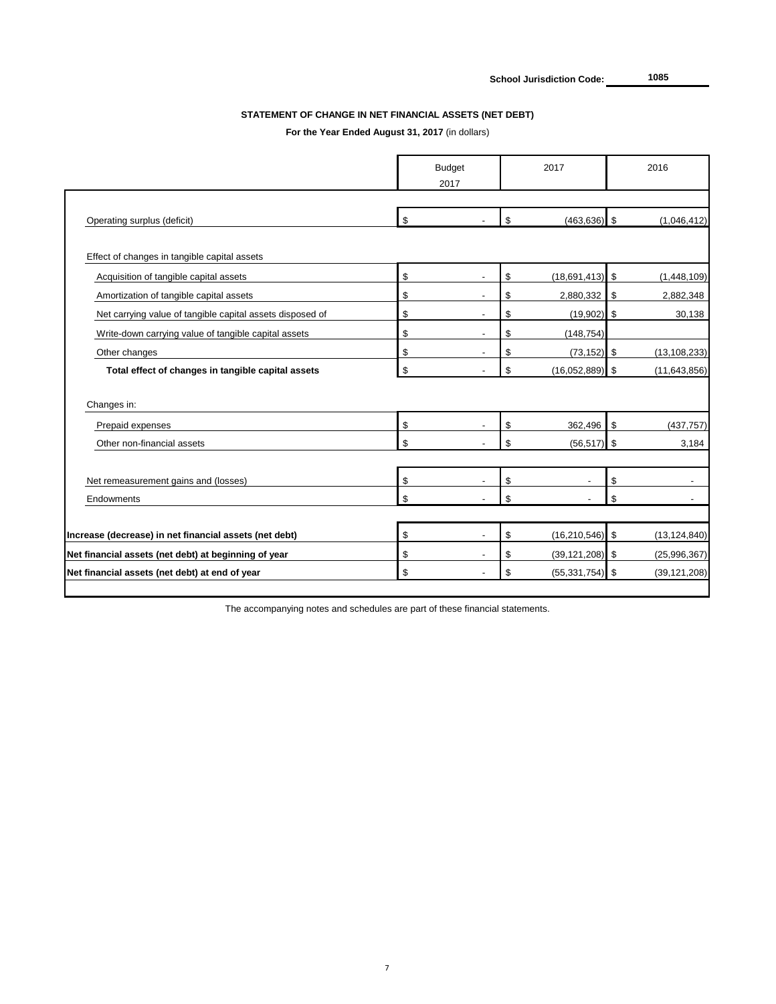**School Jurisdiction Code:**

**1085**

#### **STATEMENT OF CHANGE IN NET FINANCIAL ASSETS (NET DEBT)**

**For the Year Ended August 31, 2017** (in dollars)

|          |                |                       | 2017                                  |     | 2016                                                                                    |
|----------|----------------|-----------------------|---------------------------------------|-----|-----------------------------------------------------------------------------------------|
|          |                |                       |                                       |     |                                                                                         |
| \$       |                | \$                    |                                       |     | (1,046,412)                                                                             |
|          |                |                       |                                       |     |                                                                                         |
| \$       | $\overline{a}$ | \$                    |                                       | \$  | (1,448,109)                                                                             |
| \$       | $\overline{a}$ | \$                    | 2,880,332                             | \$  | 2,882,348                                                                               |
| \$       |                | \$                    |                                       |     | 30,138                                                                                  |
| \$       |                | \$                    | (148, 754)                            |     |                                                                                         |
| \$       | $\overline{a}$ | \$                    |                                       |     | (13, 108, 233)                                                                          |
| \$       |                | \$                    |                                       |     | (11, 643, 856)                                                                          |
|          |                |                       |                                       |     |                                                                                         |
|          |                |                       |                                       |     |                                                                                         |
| \$       | $\overline{a}$ | \$                    | 362,496                               | \$  | (437, 757)                                                                              |
| \$       |                | \$                    | (56, 517)                             | \$. | 3,184                                                                                   |
| \$       |                | \$                    |                                       | \$  |                                                                                         |
| \$       |                | \$                    |                                       | \$  |                                                                                         |
|          |                |                       |                                       |     |                                                                                         |
| \$<br>\$ | $\overline{a}$ | \$<br>\$              | (16, 210, 546)<br>$(39, 121, 208)$ \$ | \$  | (13, 124, 840)<br>(25,996,367)                                                          |
|          |                | <b>Budget</b><br>2017 |                                       |     | $(463, 636)$ \$<br>(18,691,413)<br>$(19,902)$ \$<br>$(73, 152)$ \$<br>$(16,052,889)$ \$ |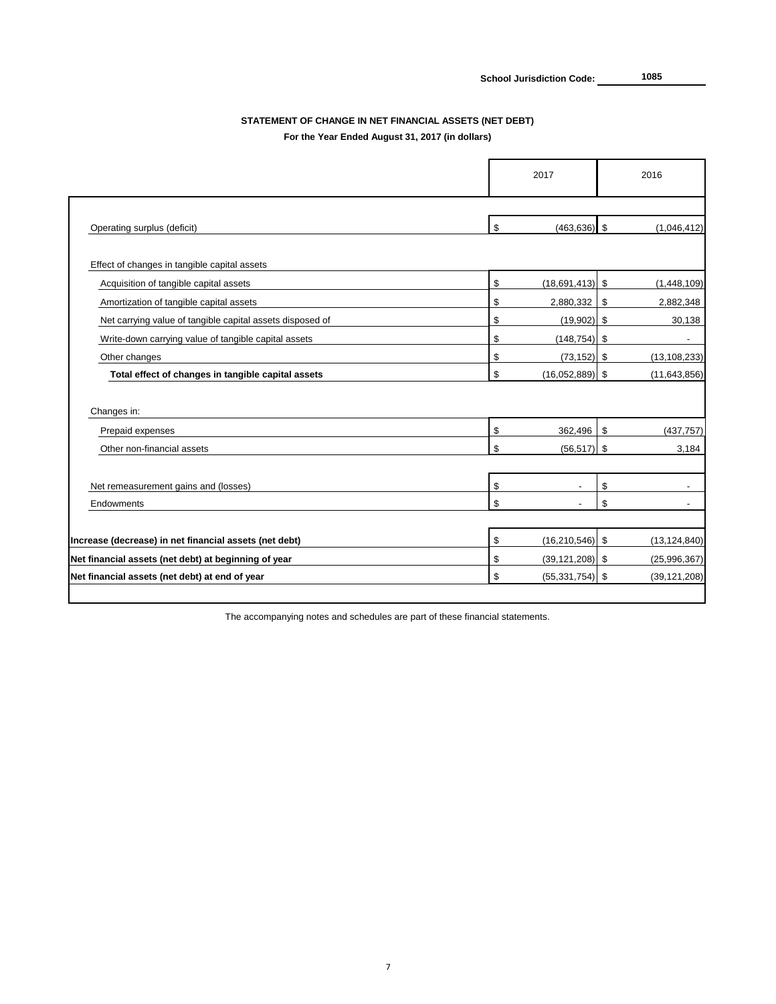#### **1085**

#### **STATEMENT OF CHANGE IN NET FINANCIAL ASSETS (NET DEBT)**

**For the Year Ended August 31, 2017 (in dollars)**

|                                                                                                                                                                  | 2017                      | 2016             |
|------------------------------------------------------------------------------------------------------------------------------------------------------------------|---------------------------|------------------|
|                                                                                                                                                                  |                           |                  |
| Operating surplus (deficit)                                                                                                                                      | \$<br>$(463, 636)$ \$     | (1,046,412)      |
|                                                                                                                                                                  |                           |                  |
| Effect of changes in tangible capital assets                                                                                                                     |                           |                  |
| Acquisition of tangible capital assets                                                                                                                           | \$<br>$(18,691,413)$ \$   | (1,448,109)      |
| Amortization of tangible capital assets                                                                                                                          | \$<br>2,880,332           | \$<br>2,882,348  |
| Net carrying value of tangible capital assets disposed of                                                                                                        | \$<br>$(19,902)$ \$       | 30,138           |
| Write-down carrying value of tangible capital assets                                                                                                             | \$<br>$(148, 754)$ \$     |                  |
| Other changes                                                                                                                                                    | \$<br>$(73, 152)$ \$      | (13, 108, 233)   |
| Total effect of changes in tangible capital assets                                                                                                               | \$<br>$(16,052,889)$ \$   | (11,643,856)     |
| Changes in:                                                                                                                                                      |                           |                  |
| Prepaid expenses                                                                                                                                                 | \$<br>362,496             | \$<br>(437, 757) |
| Other non-financial assets                                                                                                                                       | \$<br>$(56, 517)$ \$      | 3,184            |
|                                                                                                                                                                  |                           |                  |
| Net remeasurement gains and (losses)                                                                                                                             | \$                        | \$               |
| Endowments                                                                                                                                                       | \$                        | \$               |
|                                                                                                                                                                  |                           |                  |
|                                                                                                                                                                  | \$<br>$(16, 210, 546)$ \$ | (13, 124, 840)   |
|                                                                                                                                                                  | \$<br>$(39, 121, 208)$ \$ | (25,996,367)     |
|                                                                                                                                                                  | \$<br>$(55,331,754)$ \$   | (39, 121, 208)   |
| Increase (decrease) in net financial assets (net debt)<br>Net financial assets (net debt) at beginning of year<br>Net financial assets (net debt) at end of year |                           |                  |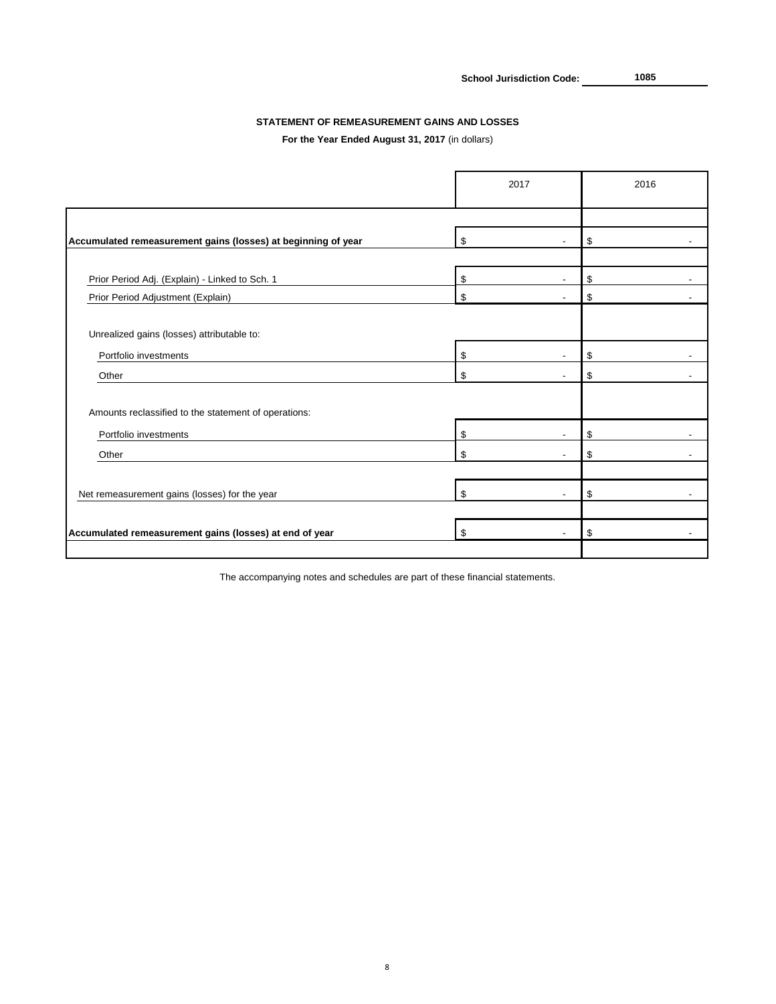**School Jurisdiction Code: 1085**

#### **STATEMENT OF REMEASUREMENT GAINS AND LOSSES**

**For the Year Ended August 31, 2017** (in dollars)

|                                                               | 2017                           | 2016 |
|---------------------------------------------------------------|--------------------------------|------|
|                                                               |                                |      |
| Accumulated remeasurement gains (losses) at beginning of year | \$                             | \$   |
|                                                               |                                |      |
| Prior Period Adj. (Explain) - Linked to Sch. 1                | \$                             | \$   |
| Prior Period Adjustment (Explain)                             | \$                             | \$   |
| Unrealized gains (losses) attributable to:                    |                                |      |
|                                                               |                                |      |
| Portfolio investments                                         | \$                             | \$   |
| Other                                                         | \$                             | \$   |
|                                                               |                                |      |
| Amounts reclassified to the statement of operations:          |                                |      |
| Portfolio investments                                         | \$                             | \$   |
| Other                                                         | \$                             | \$   |
|                                                               |                                |      |
| Net remeasurement gains (losses) for the year                 | \$                             | \$   |
|                                                               |                                |      |
| Accumulated remeasurement gains (losses) at end of year       | \$<br>$\overline{\phantom{0}}$ | \$   |
|                                                               |                                |      |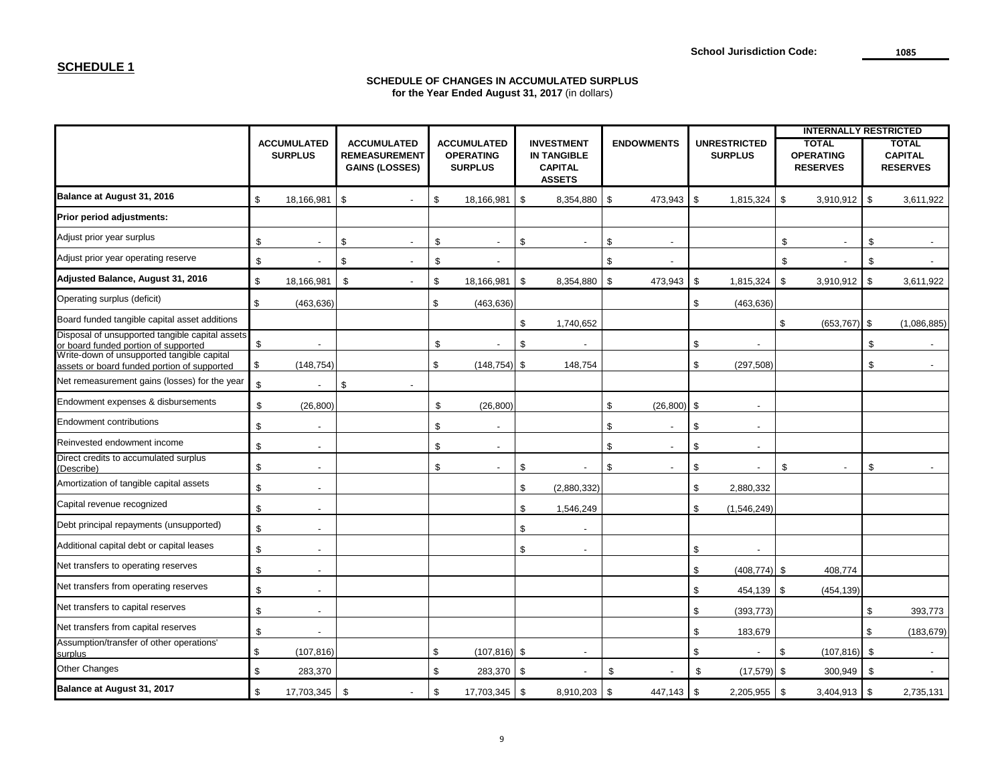#### **SCHEDULE OF CHANGES IN ACCUMULATED SURPLUS for the Year Ended August 31, 2017** (in dollars)

|                                                                                           |                                      |                                                                     |                                                          |            |                                                                            |               |                   |      |                                       | <b>INTERNALLY RESTRICTED</b>                        |      |                                                   |
|-------------------------------------------------------------------------------------------|--------------------------------------|---------------------------------------------------------------------|----------------------------------------------------------|------------|----------------------------------------------------------------------------|---------------|-------------------|------|---------------------------------------|-----------------------------------------------------|------|---------------------------------------------------|
|                                                                                           | <b>ACCUMULATED</b><br><b>SURPLUS</b> | <b>ACCUMULATED</b><br><b>REMEASUREMENT</b><br><b>GAINS (LOSSES)</b> | <b>ACCUMULATED</b><br><b>OPERATING</b><br><b>SURPLUS</b> |            | <b>INVESTMENT</b><br><b>IN TANGIBLE</b><br><b>CAPITAL</b><br><b>ASSETS</b> |               | <b>ENDOWMENTS</b> |      | <b>UNRESTRICTED</b><br><b>SURPLUS</b> | <b>TOTAL</b><br><b>OPERATING</b><br><b>RESERVES</b> |      | <b>TOTAL</b><br><b>CAPITAL</b><br><b>RESERVES</b> |
| Balance at August 31, 2016                                                                | \$<br>18,166,981                     | \$                                                                  | \$<br>18,166,981                                         | \$         | 8,354,880                                                                  | \$            | 473,943           | \$   | 1,815,324                             | \$<br>3,910,912                                     | -\$  | 3,611,922                                         |
| Prior period adjustments:                                                                 |                                      |                                                                     |                                                          |            |                                                                            |               |                   |      |                                       |                                                     |      |                                                   |
| Adjust prior year surplus                                                                 | \$<br>$\sim$                         | \$                                                                  | \$<br>$\blacksquare$                                     | \$         | $\blacksquare$                                                             | $\mathsf{\$}$ | $\blacksquare$    |      |                                       | \$<br>$\blacksquare$                                | \$   |                                                   |
| Adjust prior year operating reserve                                                       | \$                                   | \$                                                                  | \$                                                       |            |                                                                            | \$            |                   |      |                                       | \$                                                  | \$   |                                                   |
| Adjusted Balance, August 31, 2016                                                         | \$<br>18,166,981                     | \$                                                                  | \$<br>18,166,981                                         | \$         | 8,354,880                                                                  | \$            | 473,943           | \$   | 1,815,324                             | \$<br>3,910,912                                     | \$   | 3,611,922                                         |
| Operating surplus (deficit)                                                               | \$<br>(463, 636)                     |                                                                     | \$<br>(463, 636)                                         |            |                                                                            |               |                   | \$   | (463, 636)                            |                                                     |      |                                                   |
| Board funded tangible capital asset additions                                             |                                      |                                                                     |                                                          | \$         | 1,740,652                                                                  |               |                   |      |                                       | \$<br>(653, 767)                                    | -\$  | (1,086,885)                                       |
| Disposal of unsupported tangible capital assets<br>or board funded portion of supported   | \$                                   |                                                                     | \$                                                       | \$         |                                                                            |               |                   | \$   |                                       |                                                     | \$   |                                                   |
| Write-down of unsupported tangible capital<br>assets or board funded portion of supported | \$<br>(148, 754)                     |                                                                     | \$<br>(148, 754)                                         | \$         | 148.754                                                                    |               |                   | \$   | (297, 508)                            |                                                     | \$   |                                                   |
| Net remeasurement gains (losses) for the year                                             | \$                                   | \$                                                                  |                                                          |            |                                                                            |               |                   |      |                                       |                                                     |      |                                                   |
| Endowment expenses & disbursements                                                        | \$<br>(26, 800)                      |                                                                     | \$<br>(26, 800)                                          |            |                                                                            | \$            | (26, 800)         | \$   |                                       |                                                     |      |                                                   |
| Endowment contributions                                                                   | \$<br>$\blacksquare$                 |                                                                     | \$<br>$\overline{\phantom{a}}$                           |            |                                                                            | \$            |                   | \$   |                                       |                                                     |      |                                                   |
| Reinvested endowment income                                                               | \$<br>$\overline{\phantom{a}}$       |                                                                     | \$<br>÷,                                                 |            |                                                                            | \$            | $\blacksquare$    | \$   |                                       |                                                     |      |                                                   |
| Direct credits to accumulated surplus<br>(Describe)                                       | \$<br>$\blacksquare$                 |                                                                     | \$                                                       | \$         | $\overline{a}$                                                             | \$            | $\overline{a}$    | \$   |                                       | \$                                                  | \$   |                                                   |
| Amortization of tangible capital assets                                                   | \$<br>$\blacksquare$                 |                                                                     |                                                          | \$         | (2,880,332)                                                                |               |                   | \$   | 2,880,332                             |                                                     |      |                                                   |
| Capital revenue recognized                                                                | \$<br>$\overline{\phantom{a}}$       |                                                                     |                                                          | \$         | 1,546,249                                                                  |               |                   | \$   | (1,546,249)                           |                                                     |      |                                                   |
| Debt principal repayments (unsupported)                                                   | \$<br>$\blacksquare$                 |                                                                     |                                                          | \$         | $\blacksquare$                                                             |               |                   |      |                                       |                                                     |      |                                                   |
| Additional capital debt or capital leases                                                 | \$<br>$\blacksquare$                 |                                                                     |                                                          | \$         | $\blacksquare$                                                             |               |                   | \$   |                                       |                                                     |      |                                                   |
| Net transfers to operating reserves                                                       | \$<br>$\blacksquare$                 |                                                                     |                                                          |            |                                                                            |               |                   | \$   | (408, 774)                            | 408,774<br>\$                                       |      |                                                   |
| Net transfers from operating reserves                                                     | \$<br>$\blacksquare$                 |                                                                     |                                                          |            |                                                                            |               |                   | \$   | 454,139 \$                            | (454, 139)                                          |      |                                                   |
| Net transfers to capital reserves                                                         | \$<br>$\sim$                         |                                                                     |                                                          |            |                                                                            |               |                   | \$   | (393, 773)                            |                                                     | \$   | 393,773                                           |
| Net transfers from capital reserves                                                       | \$                                   |                                                                     |                                                          |            |                                                                            |               |                   | \$   | 183,679                               |                                                     | \$   | (183, 679)                                        |
| Assumption/transfer of other operations'<br>surplus                                       | \$<br>(107, 816)                     |                                                                     | \$<br>$(107, 816)$ \$                                    |            | $\blacksquare$                                                             |               |                   | \$   |                                       | $(107, 816)$ \$<br>\$                               |      |                                                   |
| Other Changes                                                                             | \$<br>283,370                        |                                                                     | \$<br>283,370                                            | $\sqrt{3}$ | $\overline{a}$                                                             | \$            |                   | \$   | $(17,579)$ \$                         | 300,949                                             | \$   |                                                   |
| Balance at August 31, 2017                                                                | \$<br>17,703,345                     | \$                                                                  | \$<br>17,703,345 \$                                      |            | 8,910,203                                                                  | \$            | 447,143           | - \$ | 2,205,955                             | \$<br>3,404,913                                     | - \$ | 2,735,131                                         |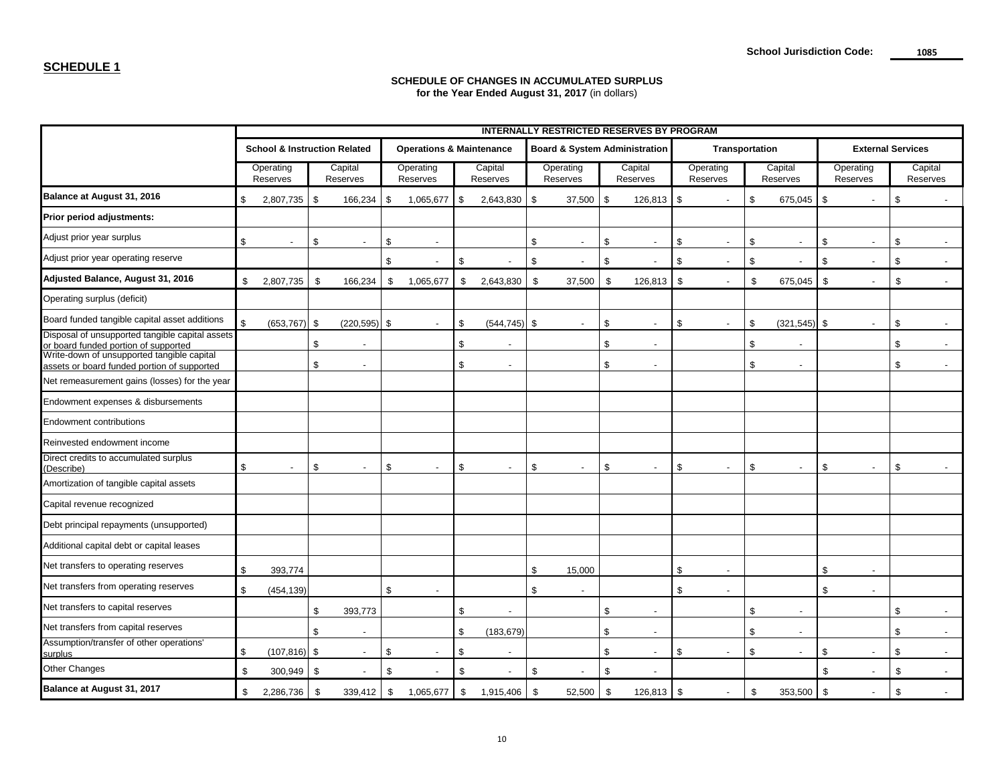#### **SCHEDULE 1**

#### **SCHEDULE OF CHANGES IN ACCUMULATED SURPLUSfor the Year Ended August 31, 2017** (in dollars)

|                                                                                           | <b>INTERNALLY RESTRICTED RESERVES BY PROGRAM</b> |                                         |    |                          |    |                                     |    |                          |               |                                          |    |                          |    |                          |                           |                          |               |                          |                                |
|-------------------------------------------------------------------------------------------|--------------------------------------------------|-----------------------------------------|----|--------------------------|----|-------------------------------------|----|--------------------------|---------------|------------------------------------------|----|--------------------------|----|--------------------------|---------------------------|--------------------------|---------------|--------------------------|--------------------------------|
|                                                                                           |                                                  | <b>School &amp; Instruction Related</b> |    |                          |    | <b>Operations &amp; Maintenance</b> |    |                          |               | <b>Board &amp; System Administration</b> |    |                          |    | Transportation           |                           |                          |               |                          | <b>External Services</b>       |
|                                                                                           |                                                  | Operating<br>Reserves                   |    | Capital<br>Reserves      |    | Operating<br>Reserves               |    | Capital<br>Reserves      |               | Operating<br>Reserves                    |    | Capital<br>Reserves      |    | Operating<br>Reserves    |                           | Capital<br>Reserves      |               | Operating<br>Reserves    | Capital<br>Reserves            |
| Balance at August 31, 2016                                                                | \$                                               | 2,807,735                               | \$ | 166,234                  | \$ | 1,065,677                           | \$ | 2,643,830 \$             |               | 37,500                                   | \$ | 126,813 \$               |    |                          | \$                        | 675,045                  | $\mathfrak s$ | $\overline{a}$           | \$                             |
| Prior period adjustments:                                                                 |                                                  |                                         |    |                          |    |                                     |    |                          |               |                                          |    |                          |    |                          |                           |                          |               |                          |                                |
| Adjust prior year surplus                                                                 | \$                                               | $\overline{\phantom{a}}$                | \$ | $\sim$                   | \$ | $\overline{\phantom{a}}$            |    |                          | \$            | $\blacksquare$                           | \$ | $\overline{a}$           | \$ | $\overline{\phantom{a}}$ | \$                        | $\sim$                   | \$            | $\overline{\phantom{a}}$ | \$<br>$\overline{\phantom{a}}$ |
| Adjust prior year operating reserve                                                       |                                                  |                                         |    |                          | \$ | $\blacksquare$                      | \$ |                          | \$            | $\overline{\phantom{a}}$                 | \$ |                          | \$ | $\overline{\phantom{a}}$ | \$                        | $\overline{\phantom{a}}$ | \$            | $\overline{\phantom{a}}$ | \$                             |
| Adjusted Balance, August 31, 2016                                                         | \$                                               | 2,807,735                               | \$ | 166,234                  | \$ | 1,065,677                           | \$ | 2,643,830                | $\mathfrak s$ | 37,500                                   | \$ | 126,813                  | \$ |                          | \$                        | 675,045                  | $\mathfrak s$ | $\overline{\phantom{a}}$ | \$<br>$\sim$                   |
| Operating surplus (deficit)                                                               |                                                  |                                         |    |                          |    |                                     |    |                          |               |                                          |    |                          |    |                          |                           |                          |               |                          |                                |
| Board funded tangible capital asset additions                                             | $\mathbb{S}$                                     | (653, 767)                              | \$ | (220, 595)               | \$ | $\overline{\phantom{a}}$            | \$ | $(544, 745)$ \$          |               | $\overline{a}$                           | \$ |                          | \$ |                          | \$                        | (321, 545)               | \$            |                          | \$                             |
| Disposal of unsupported tangible capital assets<br>or board funded portion of supported   |                                                  |                                         | \$ |                          |    |                                     | \$ |                          |               |                                          | \$ |                          |    |                          | \$                        |                          |               |                          | \$                             |
| Write-down of unsupported tangible capital<br>assets or board funded portion of supported |                                                  |                                         | \$ | $\overline{\phantom{a}}$ |    |                                     | \$ | $\overline{\phantom{a}}$ |               |                                          | \$ | $\overline{\phantom{a}}$ |    |                          | \$                        | $\overline{\phantom{a}}$ |               |                          | \$<br>$\overline{\phantom{a}}$ |
| Net remeasurement gains (losses) for the year                                             |                                                  |                                         |    |                          |    |                                     |    |                          |               |                                          |    |                          |    |                          |                           |                          |               |                          |                                |
| Endowment expenses & disbursements                                                        |                                                  |                                         |    |                          |    |                                     |    |                          |               |                                          |    |                          |    |                          |                           |                          |               |                          |                                |
| <b>Endowment contributions</b>                                                            |                                                  |                                         |    |                          |    |                                     |    |                          |               |                                          |    |                          |    |                          |                           |                          |               |                          |                                |
| Reinvested endowment income                                                               |                                                  |                                         |    |                          |    |                                     |    |                          |               |                                          |    |                          |    |                          |                           |                          |               |                          |                                |
| Direct credits to accumulated surplus<br>Describe)                                        | \$                                               | ÷,                                      | \$ |                          | \$ | $\blacksquare$                      | \$ |                          | \$            |                                          | \$ |                          | \$ | $\blacksquare$           | \$                        | $\blacksquare$           | \$            |                          | \$                             |
| Amortization of tangible capital assets                                                   |                                                  |                                         |    |                          |    |                                     |    |                          |               |                                          |    |                          |    |                          |                           |                          |               |                          |                                |
| Capital revenue recognized                                                                |                                                  |                                         |    |                          |    |                                     |    |                          |               |                                          |    |                          |    |                          |                           |                          |               |                          |                                |
| Debt principal repayments (unsupported)                                                   |                                                  |                                         |    |                          |    |                                     |    |                          |               |                                          |    |                          |    |                          |                           |                          |               |                          |                                |
| Additional capital debt or capital leases                                                 |                                                  |                                         |    |                          |    |                                     |    |                          |               |                                          |    |                          |    |                          |                           |                          |               |                          |                                |
| Net transfers to operating reserves                                                       | \$                                               | 393,774                                 |    |                          |    |                                     |    |                          | \$            | 15,000                                   |    |                          | \$ | $\overline{\phantom{a}}$ |                           |                          | \$            |                          |                                |
| Net transfers from operating reserves                                                     | \$                                               | (454, 139)                              |    |                          | \$ |                                     |    |                          | \$            |                                          |    |                          | \$ | $\overline{\phantom{a}}$ |                           |                          | \$            |                          |                                |
| Net transfers to capital reserves                                                         |                                                  |                                         | \$ | 393,773                  |    |                                     | \$ | $\blacksquare$           |               |                                          | \$ | $\blacksquare$           |    |                          | $\boldsymbol{\mathsf{S}}$ | $\overline{\phantom{a}}$ |               |                          | \$<br>$\overline{\phantom{a}}$ |
| Net transfers from capital reserves                                                       |                                                  |                                         | \$ | $\overline{\phantom{a}}$ |    |                                     | \$ | (183, 679)               |               |                                          | \$ | $\overline{\phantom{a}}$ |    |                          | \$                        | $\overline{\phantom{a}}$ |               |                          | \$<br>$\blacksquare$           |
| Assumption/transfer of other operations'<br>surplus                                       | \$                                               | $(107, 816)$ \$                         |    | $\blacksquare$           | \$ | $\overline{\phantom{a}}$            | \$ |                          |               |                                          | \$ |                          | \$ |                          | \$                        | $\blacksquare$           | \$            | $\overline{\phantom{a}}$ | \$                             |
| Other Changes                                                                             | \$                                               | 300,949                                 | \$ | $\overline{\phantom{a}}$ | \$ | $\overline{a}$                      | \$ |                          | \$            |                                          | \$ |                          |    |                          |                           |                          | \$            |                          | \$<br>$\overline{\phantom{a}}$ |
| Balance at August 31, 2017                                                                | \$                                               | 2,286,736                               | \$ | 339,412                  | \$ | 1,065,677                           | \$ | 1,915,406                | \$            | 52,500                                   | \$ | 126,813                  | \$ |                          | \$                        | 353,500                  | $\mathfrak s$ | $\overline{\phantom{a}}$ | \$                             |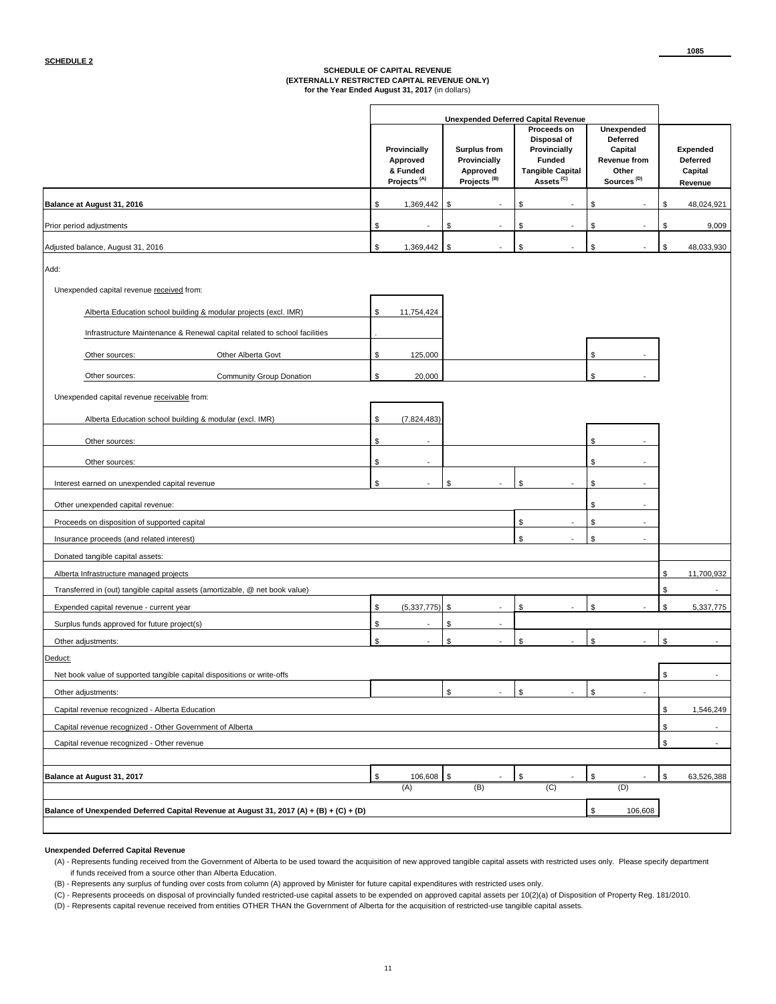#### **SCHEDULE OF CAPITAL REVENUE (EXTERNALLY RESTRICTED CAPITAL REVENUE ONLY) for the Year Ended August 31, 2017** (in dollars)

|                                                                                         | Provincially<br>Approved<br>& Funded<br>Projects <sup>(A)</sup> | <b>Surplus from</b><br>Provincially<br>Approved<br>Projects <sup>(B)</sup> | <b>Unexpended Deferred Capital Revenue</b><br>Proceeds on<br>Disposal of<br>Provincially<br><b>Funded</b><br><b>Tangible Capital</b><br>Assets <sup>(C)</sup> | Unexpended<br>Deferred<br>Capital<br>Revenue from<br>Other<br>Sources <sup>(D)</sup> | Expended<br>Deferred<br>Capital<br>Revenue |
|-----------------------------------------------------------------------------------------|-----------------------------------------------------------------|----------------------------------------------------------------------------|---------------------------------------------------------------------------------------------------------------------------------------------------------------|--------------------------------------------------------------------------------------|--------------------------------------------|
| Balance at August 31, 2016                                                              | \$<br>1,369,442                                                 | \$                                                                         | \$                                                                                                                                                            | \$                                                                                   | \$<br>48,024,921                           |
| Prior period adjustments                                                                | \$                                                              | \$                                                                         | \$                                                                                                                                                            | \$<br>$\sim$                                                                         | \$<br>9,009                                |
| Adjusted balance, August 31, 2016                                                       | \$<br>1,369,442                                                 | \$                                                                         | \$                                                                                                                                                            | \$                                                                                   | \$<br>48,033,930                           |
| Add:                                                                                    |                                                                 |                                                                            |                                                                                                                                                               |                                                                                      |                                            |
| Unexpended capital revenue received from:                                               |                                                                 |                                                                            |                                                                                                                                                               |                                                                                      |                                            |
| Alberta Education school building & modular projects (excl. IMR)                        | \$<br>11,754,424                                                |                                                                            |                                                                                                                                                               |                                                                                      |                                            |
| Infrastructure Maintenance & Renewal capital related to school facilities               |                                                                 |                                                                            |                                                                                                                                                               |                                                                                      |                                            |
|                                                                                         |                                                                 |                                                                            |                                                                                                                                                               |                                                                                      |                                            |
| Other Alberta Govt<br>Other sources:                                                    | \$<br>125,000                                                   |                                                                            |                                                                                                                                                               | \$                                                                                   |                                            |
| Community Group Donation<br>Other sources:                                              | \$<br>20,000                                                    |                                                                            |                                                                                                                                                               | \$                                                                                   |                                            |
| Unexpended capital revenue receivable from:                                             |                                                                 |                                                                            |                                                                                                                                                               |                                                                                      |                                            |
| Alberta Education school building & modular (excl. IMR)                                 | \$<br>(7,824,483)                                               |                                                                            |                                                                                                                                                               |                                                                                      |                                            |
| Other sources:                                                                          | \$                                                              |                                                                            |                                                                                                                                                               | \$                                                                                   |                                            |
| Other sources:                                                                          | \$                                                              |                                                                            |                                                                                                                                                               | \$                                                                                   |                                            |
| Interest earned on unexpended capital revenue                                           | \$                                                              | \$                                                                         | \$                                                                                                                                                            | \$                                                                                   |                                            |
| Other unexpended capital revenue:                                                       |                                                                 |                                                                            |                                                                                                                                                               | \$                                                                                   |                                            |
| Proceeds on disposition of supported capital                                            |                                                                 |                                                                            | \$                                                                                                                                                            | \$                                                                                   |                                            |
| Insurance proceeds (and related interest)                                               |                                                                 |                                                                            | \$                                                                                                                                                            | \$                                                                                   |                                            |
| Donated tangible capital assets:                                                        |                                                                 |                                                                            |                                                                                                                                                               |                                                                                      |                                            |
| Alberta Infrastructure managed projects                                                 |                                                                 |                                                                            |                                                                                                                                                               |                                                                                      | \$<br>11,700,932                           |
| Transferred in (out) tangible capital assets (amortizable, @ net book value)            |                                                                 |                                                                            |                                                                                                                                                               |                                                                                      | \$                                         |
| Expended capital revenue - current year                                                 | \$<br>(5, 337, 775)                                             | \$                                                                         | \$                                                                                                                                                            | \$                                                                                   | \$<br>5,337,775                            |
| Surplus funds approved for future project(s)                                            | \$                                                              | \$                                                                         |                                                                                                                                                               |                                                                                      |                                            |
| Other adjustments:                                                                      | $\mathbb{S}$                                                    | \$                                                                         | \$                                                                                                                                                            | $\mathbb S$                                                                          | \$                                         |
| Deduct:                                                                                 |                                                                 |                                                                            |                                                                                                                                                               |                                                                                      |                                            |
| Net book value of supported tangible capital dispositions or write-offs                 |                                                                 |                                                                            |                                                                                                                                                               |                                                                                      |                                            |
| Other adjustments:                                                                      |                                                                 | \$                                                                         | \$                                                                                                                                                            | \$                                                                                   |                                            |
| Capital revenue recognized - Alberta Education                                          |                                                                 |                                                                            |                                                                                                                                                               |                                                                                      | \$<br>1,546,249                            |
| Capital revenue recognized - Other Government of Alberta                                |                                                                 |                                                                            |                                                                                                                                                               |                                                                                      | \$<br>$\overline{\phantom{a}}$             |
| Capital revenue recognized - Other revenue                                              |                                                                 |                                                                            |                                                                                                                                                               |                                                                                      | \$                                         |
| Balance at August 31, 2017                                                              | $\$\$<br>106,608 \$                                             |                                                                            | \$                                                                                                                                                            | \$                                                                                   | \$<br>63,526,388                           |
|                                                                                         | (A)                                                             | (B)                                                                        | (C)                                                                                                                                                           | (D)                                                                                  |                                            |
| Balance of Unexpended Deferred Capital Revenue at August 31, 2017 (A) + (B) + (C) + (D) |                                                                 |                                                                            |                                                                                                                                                               | \$<br>106,608                                                                        |                                            |
|                                                                                         |                                                                 |                                                                            |                                                                                                                                                               |                                                                                      |                                            |

#### **Unexpended Deferred Capital Revenue**

(A) - Represents funding received from the Government of Alberta to be used toward the acquisition of new approved tangible capital assets with restricted uses only. Please specify department if funds received from a source other than Alberta Education.

(B) - Represents any surplus of funding over costs from column (A) approved by Minister for future capital expenditures with restricted uses only.

(C) - Represents proceeds on disposal of provincially funded restricted-use capital assets to be expended on approved capital assets per 10(2)(a) of Disposition of Property Reg. 181/2010.

(D) - Represents capital revenue received from entities OTHER THAN the Government of Alberta for the acquisition of restricted-use tangible capital assets.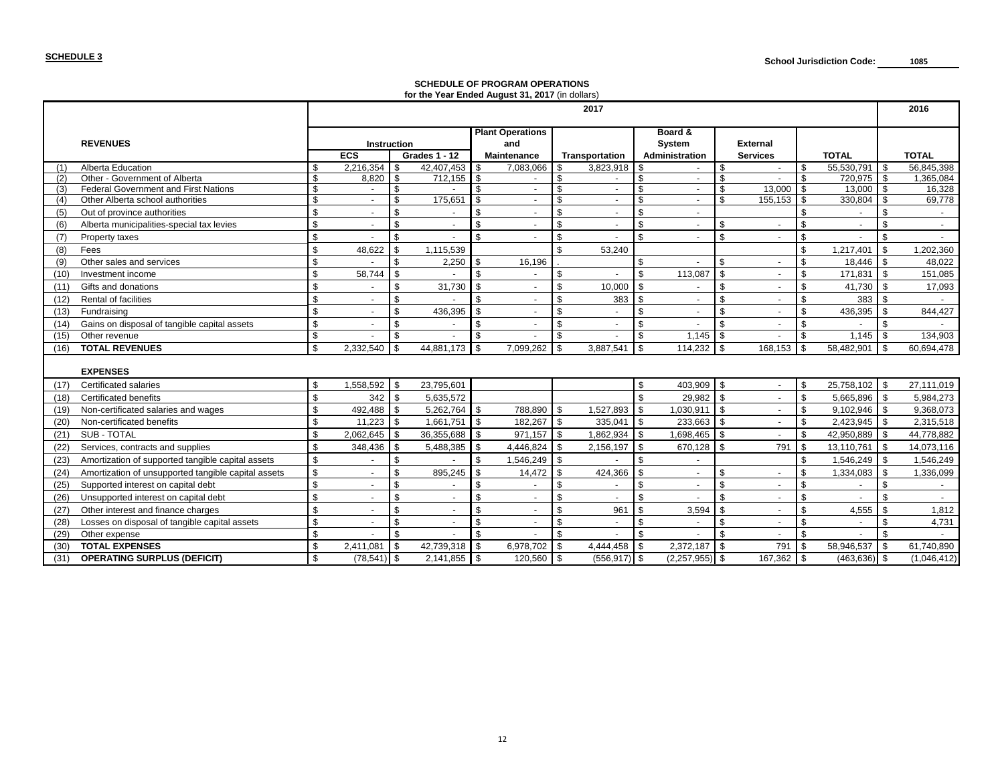#### **SCHEDULE OF PROGRAM OPERATIONS for the Year Ended August 31, 2017** (in dollars)

|            |                                                     | 2017     |                                  |                |                               |                |                          |                |                 |                |                          |                 |                                                      |                | 2016         |          |                         |
|------------|-----------------------------------------------------|----------|----------------------------------|----------------|-------------------------------|----------------|--------------------------|----------------|-----------------|----------------|--------------------------|-----------------|------------------------------------------------------|----------------|--------------|----------|-------------------------|
|            |                                                     |          |                                  |                |                               |                |                          |                |                 |                |                          |                 |                                                      |                |              |          |                         |
|            |                                                     |          |                                  |                |                               |                | <b>Plant Operations</b>  |                |                 |                | Board &                  |                 |                                                      |                |              |          |                         |
|            | <b>REVENUES</b>                                     |          | <b>Instruction</b><br><b>ECS</b> |                | Grades 1 - 12                 |                | and                      |                |                 |                | System<br>Administration | <b>External</b> |                                                      |                | <b>TOTAL</b> |          | <b>TOTAL</b>            |
|            |                                                     |          |                                  |                |                               |                | <b>Maintenance</b>       |                | Transportation  |                |                          |                 | <b>Services</b>                                      |                | 55.530.791   |          |                         |
| (1)<br>(2) | Alberta Education<br>Other - Government of Alberta  | \$<br>\$ | 8,820                            | \$             | 42.407.453 \$<br>$712,155$ \$ |                | 7.083.066<br>$\sim$      | -\$<br>\$      | $3.823.918$ \$  |                | $\sim$                   | \$<br>\$        | $\overline{\phantom{a}}$<br>$\overline{\phantom{a}}$ | \$<br>\$.      | 720.975      | <b>S</b> | 56,845,398<br>1.365.084 |
| (3)        | <b>Federal Government and First Nations</b>         | \$       |                                  |                |                               | \$             | $\sim$                   | \$             |                 | -S             |                          | \$              | 13,000                                               | -S             | 13,000       |          | 16,328                  |
| (4)        | Other Alberta school authorities                    | \$       | ٠                                | £.             | 175,651                       | \$             | $\overline{\phantom{a}}$ | \$             |                 |                | $\overline{\phantom{a}}$ | \$              | 155,153                                              | -S             | 330,804      |          | 69,778                  |
| (5)        | Out of province authorities                         | \$       |                                  | \$             |                               | \$             | $\overline{\phantom{a}}$ | $\mathfrak{s}$ |                 |                | $\overline{\phantom{a}}$ |                 |                                                      | £.             |              |          |                         |
| (6)        | Alberta municipalities-special tax levies           | \$       |                                  | \$             |                               | \$             | $\overline{\phantom{a}}$ | \$             |                 | \$             | $\overline{\phantom{a}}$ | \$              | $\blacksquare$                                       | $\mathfrak{s}$ |              |          | $\blacksquare$          |
| (7)        | Property taxes                                      | \$       |                                  |                |                               | ፍ              | $\blacksquare$           | <b>S</b>       |                 |                |                          | \$              | $\blacksquare$                                       | $\mathbf{\$}$  |              |          |                         |
| (8)        | Fees                                                | \$       | 48,622                           |                | 1,115,539                     |                |                          | $\mathfrak{L}$ | 53.240          |                |                          |                 |                                                      | \$             | 1.217.401    |          | 1,202,360               |
| (9)        | Other sales and services                            | \$       |                                  |                | 2,250                         | \$             | 16.196                   |                |                 | ደ              |                          | \$              | $\blacksquare$                                       | \$             | 18.446       |          | 48,022                  |
| (10)       | Investment income                                   | \$       | 58,744                           | \$             |                               | \$             |                          | \$             |                 | \$             | 113,087                  | \$              | ٠                                                    | \$             | 171,831      |          | 151,085                 |
| (11)       | Gifts and donations                                 | \$       |                                  | \$             | 31,730                        | $\mathbb{S}$   | $\sim$                   | \$             | 10.000          |                |                          | \$              | $\sim$                                               | $\mathfrak{s}$ | 41.730       |          | 17,093                  |
| (12)       | <b>Rental of facilities</b>                         | \$       |                                  | $\mathfrak{L}$ |                               | \$             | $\sim$                   | \$             | 383             |                |                          | \$              | ٠                                                    | \$             | 383          |          |                         |
| (13)       | Fundraising                                         | \$       |                                  | \$             | 436,395                       | \$             | $\blacksquare$           | \$             |                 |                |                          | \$              | ٠                                                    | \$             | 436,395      |          | 844,427                 |
| (14)       | Gains on disposal of tangible capital assets        | \$       |                                  | \$             |                               | \$             | $\blacksquare$           | \$             |                 |                |                          | \$              | ٠                                                    | $\mathfrak{s}$ |              |          |                         |
| (15)       | Other revenue                                       | \$       |                                  | $\mathfrak{L}$ |                               | \$.            |                          | $\mathfrak{S}$ |                 | \$             | 1,145                    | l \$            |                                                      | \$.            | 1,145        |          | 134,903                 |
| (16)       | <b>TOTAL REVENUES</b>                               | \$       | 2,332,540                        | $\mathfrak{L}$ | 44,881,173 \$                 |                | 7,099,262                | $\mathbb{S}$   | 3.887.541       | - \$           | 114,232                  | l \$            | 168,153                                              | \$.            | 58.482.901   |          | 60,694,478              |
|            |                                                     |          |                                  |                |                               |                |                          |                |                 |                |                          |                 |                                                      |                |              |          |                         |
|            | <b>EXPENSES</b>                                     |          |                                  |                |                               |                |                          |                |                 |                |                          |                 |                                                      |                |              |          |                         |
| (17)       | <b>Certificated salaries</b>                        | \$       | $1.558.592$ \\$                  |                | 23.795.601                    |                |                          |                |                 | \$             | 403.909 \$               |                 | $\overline{a}$                                       | \$             | 25.758.102   | <b>S</b> | 27,111,019              |
| (18)       | <b>Certificated benefits</b>                        | \$       | 342                              | $\mathbf{s}$   | 5,635,572                     |                |                          |                |                 | $\mathfrak{s}$ | 29,982                   | l \$            | $\blacksquare$                                       | \$             | 5,665,896    | -\$      | 5,984,273               |
| (19)       | Non-certificated salaries and wages                 | \$       | 492.488 \$                       |                | $5.262.764$ \$                |                | 788,890                  | \$             | 1,527,893       | l \$           | 1.030.911                | $\mathbf{s}$    | $\blacksquare$                                       | \$             | 9.102.946    |          | 9,368,073               |
| (20)       | Non-certificated benefits                           | \$       | $11,223$ \$                      |                | 1,661,751                     | $\mathbf{s}$   | 182,267                  | \$             | 335,041         | l \$           | 233,663 \$               |                 | $\blacksquare$                                       | \$             | 2,423,945    | -\$      | 2,315,518               |
| (21)       | <b>SUB - TOTAL</b>                                  | \$       | 2,062,645                        | -S             | 36,355,688 \$                 |                | 971,157                  | \$             | 1,862,934       | l \$           | 1,698,465                | $\mathbf{s}$    | ٠                                                    | \$             | 42,950,889   | \$       | 44,778,882              |
| (22)       | Services, contracts and supplies                    | \$       | 348,436                          | -S             | 5,488,385                     | $\mathfrak{s}$ | 4,446,824                | \$             | 2,156,197       | - \$           | 670,128                  | \$              | 791                                                  | \$             | 13,110,761   |          | 14,073,116              |
| (23)       | Amortization of supported tangible capital assets   | \$       |                                  | \$             |                               | ፍ              | 1,546,249                | $\mathbb{S}$   |                 | ደ              |                          |                 |                                                      | $\mathfrak{L}$ | 1,546,249    |          | 1,546,249               |
| (24)       | Amortization of unsupported tangible capital assets | \$       |                                  | \$             | 895,245                       | \$             | 14,472                   | $\mathfrak{L}$ | 424,366         |                | $\blacksquare$           | \$              | $\blacksquare$                                       | \$             | 1,334,083    |          | 1,336,099               |
| (25)       | Supported interest on capital debt                  | $\,$     |                                  | \$             |                               | \$             | $\blacksquare$           | \$             |                 | \$             | $\overline{\phantom{a}}$ | \$              | $\blacksquare$                                       | $\mathbf{\$}$  |              |          |                         |
| (26)       | Unsupported interest on capital debt                | \$       |                                  | \$             |                               | \$             | $\sim$                   | \$             |                 |                |                          | \$              | $\overline{\phantom{a}}$                             | $\mathfrak{L}$ |              |          |                         |
| (27)       | Other interest and finance charges                  | \$       |                                  | ዼ              |                               | \$             | $\sim$                   | $\mathbf{\$}$  | 961             |                | 3,594                    |                 | ٠                                                    | $\mathfrak{L}$ | 4,555        |          | 1,812                   |
| (28)       | Losses on disposal of tangible capital assets       | \$       |                                  | \$             |                               | \$             | $\overline{\phantom{a}}$ | \$             |                 |                | $\overline{\phantom{a}}$ | \$              | $\blacksquare$                                       | <sup>\$</sup>  |              |          | 4,731                   |
| (29)       | Other expense                                       | \$       |                                  | \$             |                               | \$             |                          | $\mathfrak{s}$ |                 |                |                          | \$              |                                                      | $\mathfrak{L}$ |              |          |                         |
| (30)       | <b>TOTAL EXPENSES</b>                               | \$       | 2,411,081                        | \$             | 42,739,318                    | \$             | 6,978,702                | \$             | 4,444,458       | - \$           | 2,372,187                | \$              | 791                                                  | <sup>\$</sup>  | 58,946,537   |          | 61,740,890              |
| (31)       | <b>OPERATING SURPLUS (DEFICIT)</b>                  | \$       | $(78, 541)$ \$                   |                | 2,141,855                     | $\mathbf{s}$   | 120,560                  | \$             | $(556, 917)$ \$ |                | (2, 257, 955)            | - \$            | 167,362                                              | \$             | (463, 636)   | - \$     | (1,046,412)             |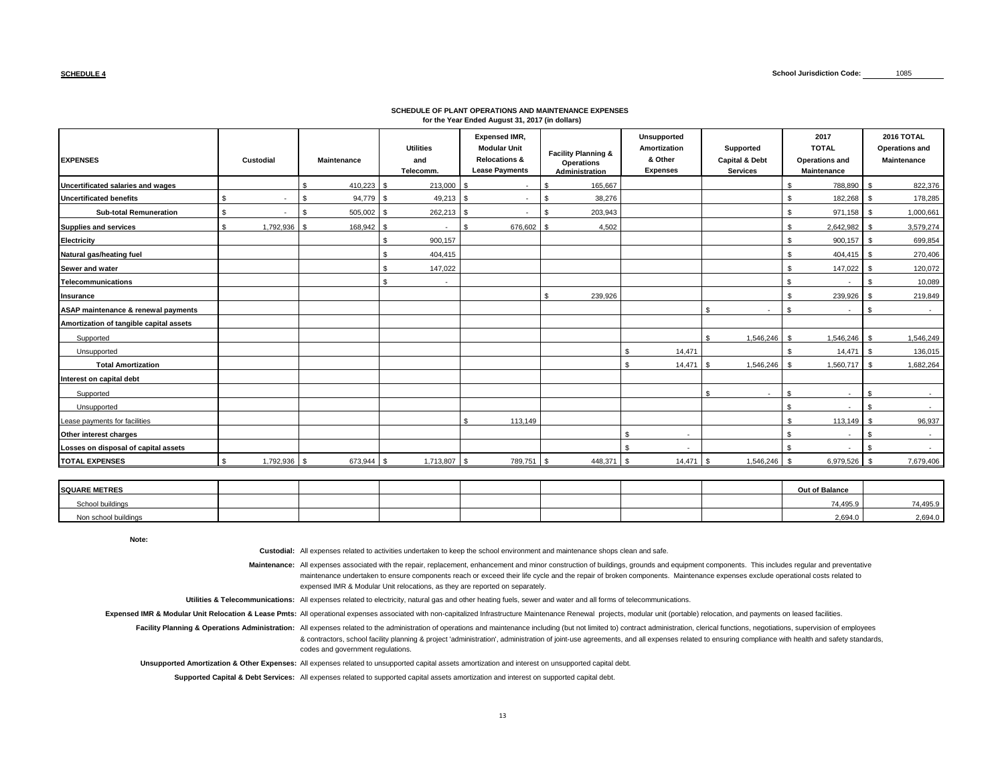#### **SCHEDULE 4 School Jurisdiction Code:** 1085

| for the Year Ended August 31, 2017 (in dollars) |                                 |              |                    |            |                                      |              |                                                                                                  |            |                                                                |         |                                                                  |              |                                                           |                |                    |                          |                    |            |  |  |  |  |  |  |  |  |  |  |  |  |  |  |  |  |                                                       |  |                                                    |
|-------------------------------------------------|---------------------------------|--------------|--------------------|------------|--------------------------------------|--------------|--------------------------------------------------------------------------------------------------|------------|----------------------------------------------------------------|---------|------------------------------------------------------------------|--------------|-----------------------------------------------------------|----------------|--------------------|--------------------------|--------------------|------------|--|--|--|--|--|--|--|--|--|--|--|--|--|--|--|--|-------------------------------------------------------|--|----------------------------------------------------|
| <b>EXPENSES</b>                                 | Custodial<br><b>Maintenance</b> |              |                    |            | <b>Utilities</b><br>and<br>Telecomm. |              | <b>Expensed IMR,</b><br><b>Modular Unit</b><br><b>Relocations &amp;</b><br><b>Lease Payments</b> |            | <b>Facility Planning &amp;</b><br>Operations<br>Administration |         | <b>Unsupported</b><br>Amortization<br>& Other<br><b>Expenses</b> |              | Supported<br><b>Capital &amp; Debt</b><br><b>Services</b> |                |                    |                          |                    |            |  |  |  |  |  |  |  |  |  |  |  |  |  |  |  |  | 2017<br><b>TOTAL</b><br>Operations and<br>Maintenance |  | <b>2016 TOTAL</b><br>Operations and<br>Maintenance |
| Uncertificated salaries and wages               |                                 |              | \$.                | 410,223 \$ |                                      | 213,000 \$   |                                                                                                  |            | \$                                                             | 165,667 |                                                                  |              |                                                           |                | \$.                | 788,890                  | - \$               | 822,376    |  |  |  |  |  |  |  |  |  |  |  |  |  |  |  |  |                                                       |  |                                                    |
| <b>Uncertificated benefits</b>                  | \$                              |              | <b>S</b>           | 94,779 \$  |                                      | 49,213 \$    |                                                                                                  |            | \$                                                             | 38,276  |                                                                  |              |                                                           |                | S.                 | 182,268                  | - \$               | 178,285    |  |  |  |  |  |  |  |  |  |  |  |  |  |  |  |  |                                                       |  |                                                    |
| <b>Sub-total Remuneration</b>                   | $\sqrt{3}$                      |              | <b>S</b>           | 505,002 \$ |                                      | 262,213      | l \$                                                                                             |            | $\mathbf{s}$                                                   | 203,943 |                                                                  |              |                                                           |                | s.                 | 971,158 \$               |                    | 1,000,661  |  |  |  |  |  |  |  |  |  |  |  |  |  |  |  |  |                                                       |  |                                                    |
| Supplies and services                           | S.                              | 1,792,936    | $\hat{\mathbf{r}}$ | 168,942 \$ |                                      |              | £.                                                                                               | 676,602 \$ |                                                                | 4,502   |                                                                  |              |                                                           |                | - \$               | 2,642,982                | - \$               | 3,579,274  |  |  |  |  |  |  |  |  |  |  |  |  |  |  |  |  |                                                       |  |                                                    |
| Electricity                                     |                                 |              |                    |            | \$.                                  | 900,157      |                                                                                                  |            |                                                                |         |                                                                  |              |                                                           |                | \$.                | 900,157 \$               |                    | 699,854    |  |  |  |  |  |  |  |  |  |  |  |  |  |  |  |  |                                                       |  |                                                    |
| Natural gas/heating fuel                        |                                 |              |                    |            | \$                                   | 404,415      |                                                                                                  |            |                                                                |         |                                                                  |              |                                                           |                | S.                 | 404,415 \$               |                    | 270,406    |  |  |  |  |  |  |  |  |  |  |  |  |  |  |  |  |                                                       |  |                                                    |
| Sewer and water                                 |                                 |              |                    |            | \$                                   | 147,022      |                                                                                                  |            |                                                                |         |                                                                  |              |                                                           |                | \$.                | 147,022                  | - \$               | 120,072    |  |  |  |  |  |  |  |  |  |  |  |  |  |  |  |  |                                                       |  |                                                    |
| <b>Telecommunications</b>                       |                                 |              |                    |            | \$.                                  |              |                                                                                                  |            |                                                                |         |                                                                  |              |                                                           |                | $\mathfrak{s}$     |                          | -96                | 10,089     |  |  |  |  |  |  |  |  |  |  |  |  |  |  |  |  |                                                       |  |                                                    |
| Insurance                                       |                                 |              |                    |            |                                      |              |                                                                                                  |            | \$.                                                            | 239,926 |                                                                  |              |                                                           |                | \$.                | 239,926                  |                    | 219,849    |  |  |  |  |  |  |  |  |  |  |  |  |  |  |  |  |                                                       |  |                                                    |
| ASAP maintenance & renewal payments             |                                 |              |                    |            |                                      |              |                                                                                                  |            |                                                                |         |                                                                  |              | \$.                                                       | $\sim$         | -S                 | ٠                        |                    | $\sim$ $-$ |  |  |  |  |  |  |  |  |  |  |  |  |  |  |  |  |                                                       |  |                                                    |
| Amortization of tangible capital assets         |                                 |              |                    |            |                                      |              |                                                                                                  |            |                                                                |         |                                                                  |              |                                                           |                |                    |                          |                    |            |  |  |  |  |  |  |  |  |  |  |  |  |  |  |  |  |                                                       |  |                                                    |
| Supported                                       |                                 |              |                    |            |                                      |              |                                                                                                  |            |                                                                |         |                                                                  |              | ¢                                                         | 1,546,246 \$   |                    | 1,546,246                |                    | 1,546,249  |  |  |  |  |  |  |  |  |  |  |  |  |  |  |  |  |                                                       |  |                                                    |
| Unsupported                                     |                                 |              |                    |            |                                      |              |                                                                                                  |            |                                                                |         | S.                                                               | 14,471       |                                                           |                |                    | $14,471$ \$              |                    | 136,015    |  |  |  |  |  |  |  |  |  |  |  |  |  |  |  |  |                                                       |  |                                                    |
| <b>Total Amortization</b>                       |                                 |              |                    |            |                                      |              |                                                                                                  |            |                                                                |         | -S                                                               | $14,471$ \$  |                                                           | 1,546,246 \$   |                    | 1,560,717 \$             |                    | 1,682,264  |  |  |  |  |  |  |  |  |  |  |  |  |  |  |  |  |                                                       |  |                                                    |
| Interest on capital debt                        |                                 |              |                    |            |                                      |              |                                                                                                  |            |                                                                |         |                                                                  |              |                                                           |                |                    |                          |                    |            |  |  |  |  |  |  |  |  |  |  |  |  |  |  |  |  |                                                       |  |                                                    |
| Supported                                       |                                 |              |                    |            |                                      |              |                                                                                                  |            |                                                                |         |                                                                  |              | \$.                                                       | $\sim$         | $\mathbf{\hat{S}}$ | $\sim$                   |                    | $\sim$     |  |  |  |  |  |  |  |  |  |  |  |  |  |  |  |  |                                                       |  |                                                    |
| Unsupported                                     |                                 |              |                    |            |                                      |              |                                                                                                  |            |                                                                |         |                                                                  |              |                                                           |                |                    | $\overline{\phantom{a}}$ |                    | $\sim$     |  |  |  |  |  |  |  |  |  |  |  |  |  |  |  |  |                                                       |  |                                                    |
| Lease payments for facilities                   |                                 |              |                    |            |                                      |              | \$                                                                                               | 113,149    |                                                                |         |                                                                  |              |                                                           |                | \$.                | 113,149                  | $\mathbf{\hat{S}}$ | 96,937     |  |  |  |  |  |  |  |  |  |  |  |  |  |  |  |  |                                                       |  |                                                    |
| Other interest charges                          |                                 |              |                    |            |                                      |              |                                                                                                  |            |                                                                |         | £.                                                               | $\sim$       |                                                           |                | \$.                | ٠                        | £.                 | $\sim$     |  |  |  |  |  |  |  |  |  |  |  |  |  |  |  |  |                                                       |  |                                                    |
| Losses on disposal of capital assets            |                                 |              |                    |            |                                      |              |                                                                                                  |            |                                                                |         | -S                                                               | ٠            |                                                           |                | \$                 | ٠                        | \$.                | $\sim 100$ |  |  |  |  |  |  |  |  |  |  |  |  |  |  |  |  |                                                       |  |                                                    |
| <b>TOTAL EXPENSES</b>                           | $\mathbb{S}$                    | 1,792,936 \$ |                    | 673,944 \$ |                                      | 1,713,807 \$ |                                                                                                  | 789,751 \$ |                                                                | 448,371 | $\sqrt{s}$                                                       | $14,471$ \\$ |                                                           | $1,546,246$ \$ |                    | 6,979,526 \$             |                    | 7,679,406  |  |  |  |  |  |  |  |  |  |  |  |  |  |  |  |  |                                                       |  |                                                    |

# **SCHEDULE OF PLANT OPERATIONS AND MAINTENANCE EXPENSES**

**Out of Balance** School buildings 74,495.9 74,495.9 Non school buildings 2,694.0 2,694.0 **SQUARE METRES**

**Note:**

**Custodial:** All expenses related to activities undertaken to keep the school environment and maintenance shops clean and safe.

**Maintenance:** All expenses associated with the repair, replacement, enhancement and minor construction of buildings, grounds and equipment components. This includes regular and preventative maintenance undertaken to ensure components reach or exceed their life cycle and the repair of broken components. Maintenance expenses exclude operational costs related to expensed IMR & Modular Unit relocations, as they are reported on separately.

**Utilities & Telecommunications:** All expenses related to electricity, natural gas and other heating fuels, sewer and water and all forms of telecommunications.

Expensed IMR & Modular Unit Relocation & Lease Pmts: All operational expenses associated with non-capitalized Infrastructure Maintenance Renewal projects, modular unit (portable) relocation, and payments on leased faciliti

Facility Planning & Operations Administration: All expenses related to the administration of operations and maintenance including (but not limited to) contract administration, clerical functions, negotiations, supervision & contractors, school facility planning & project 'administration', administration of joint-use agreements, and all expenses related to ensuring compliance with health and safety standards, codes and government regulations.

Unsupported Amortization & Other Expenses: All expenses related to unsupported capital assets amortization and interest on unsupported capital debt.

Supported Capital & Debt Services: All expenses related to supported capital assets amortization and interest on supported capital debt.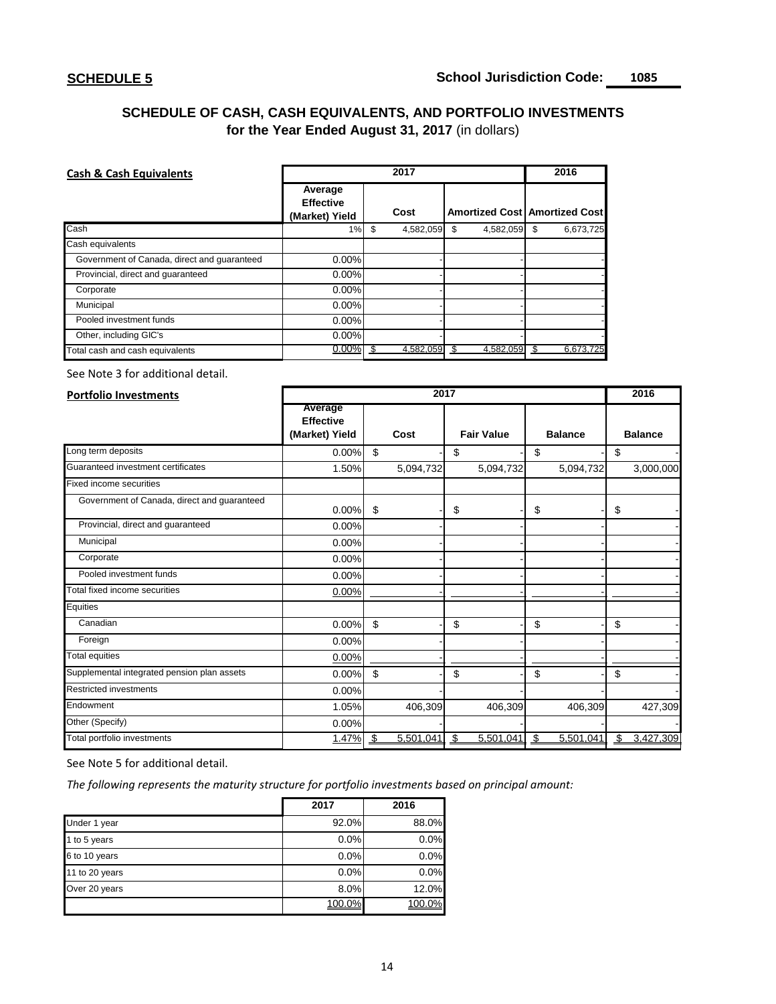# **SCHEDULE OF CASH, CASH EQUIVALENTS, AND PORTFOLIO INVESTMENTS for the Year Ended August 31, 2017** (in dollars)

| <b>Cash &amp; Cash Equivalents</b>          |                                               | 2017            |                                          |           | 2016 |           |  |  |
|---------------------------------------------|-----------------------------------------------|-----------------|------------------------------------------|-----------|------|-----------|--|--|
|                                             | Average<br><b>Effective</b><br>(Market) Yield | Cost            | <b>Amortized Cost   Amortized Cost  </b> |           |      |           |  |  |
| Cash                                        | 1%                                            | \$<br>4,582,059 | \$                                       | 4,582,059 |      | 6,673,725 |  |  |
| Cash equivalents                            |                                               |                 |                                          |           |      |           |  |  |
| Government of Canada, direct and quaranteed | 0.00%                                         |                 |                                          |           |      |           |  |  |
| Provincial, direct and guaranteed           | $0.00\%$                                      |                 |                                          |           |      |           |  |  |
| Corporate                                   | $0.00\%$                                      |                 |                                          |           |      |           |  |  |
| Municipal                                   | $0.00\%$                                      |                 |                                          |           |      |           |  |  |
| Pooled investment funds                     | $0.00\%$                                      |                 |                                          |           |      |           |  |  |
| Other, including GIC's                      | $0.00\%$                                      |                 |                                          |           |      |           |  |  |
| Total cash and cash equivalents             | $0.00\%$                                      | 4.582.059       |                                          | 4.582.059 |      | 6.673.725 |  |  |

See Note 3 for additional detail.

| <b>Portfolio Investments</b>                |                                               |                | 2016      |                   |                 |                 |
|---------------------------------------------|-----------------------------------------------|----------------|-----------|-------------------|-----------------|-----------------|
|                                             | Average<br><b>Effective</b><br>(Market) Yield |                | Cost      | <b>Fair Value</b> | <b>Balance</b>  | <b>Balance</b>  |
| Long term deposits                          | 0.00%                                         | \$             |           | \$                | \$              | \$              |
| Guaranteed investment certificates          | 1.50%                                         |                | 5,094,732 | 5,094,732         | 5,094,732       | 3,000,000       |
| <b>Fixed income securities</b>              |                                               |                |           |                   |                 |                 |
| Government of Canada, direct and guaranteed | 0.00%                                         | $\mathfrak{S}$ |           | \$                | \$              | \$              |
| Provincial, direct and guaranteed           | 0.00%                                         |                |           |                   |                 |                 |
| Municipal                                   | 0.00%                                         |                |           |                   |                 |                 |
| Corporate                                   | 0.00%                                         |                |           |                   |                 |                 |
| Pooled investment funds                     | 0.00%                                         |                |           |                   |                 |                 |
| Total fixed income securities               | 0.00%                                         |                |           |                   |                 |                 |
| Equities                                    |                                               |                |           |                   |                 |                 |
| Canadian                                    | 0.00%                                         | \$             |           | \$                | \$              | \$              |
| Foreign                                     | 0.00%                                         |                |           |                   |                 |                 |
| <b>Total equities</b>                       | 0.00%                                         |                |           |                   |                 |                 |
| Supplemental integrated pension plan assets | 0.00%                                         | \$             |           | \$                | \$              | \$              |
| <b>Restricted investments</b>               | 0.00%                                         |                |           |                   |                 |                 |
| Endowment                                   | 1.05%                                         |                | 406,309   | 406,309           | 406,309         | 427,309         |
| Other (Specify)                             | 0.00%                                         |                |           |                   |                 |                 |
| Total portfolio investments                 | 1.47%                                         | \$             | 5,501,041 | \$<br>5,501,041   | \$<br>5,501,041 | \$<br>3,427,309 |

See Note 5 for additional detail.

*The following represents the maturity structure for portfolio investments based on principal amount:*

|                | 2017   | 2016   |
|----------------|--------|--------|
| Under 1 year   | 92.0%  | 88.0%  |
| 1 to 5 years   | 0.0%   | 0.0%   |
| 6 to 10 years  | 0.0%   | 0.0%   |
| 11 to 20 years | 0.0%   | 0.0%   |
| Over 20 years  | 8.0%   | 12.0%  |
|                | 100.0% | 100.0% |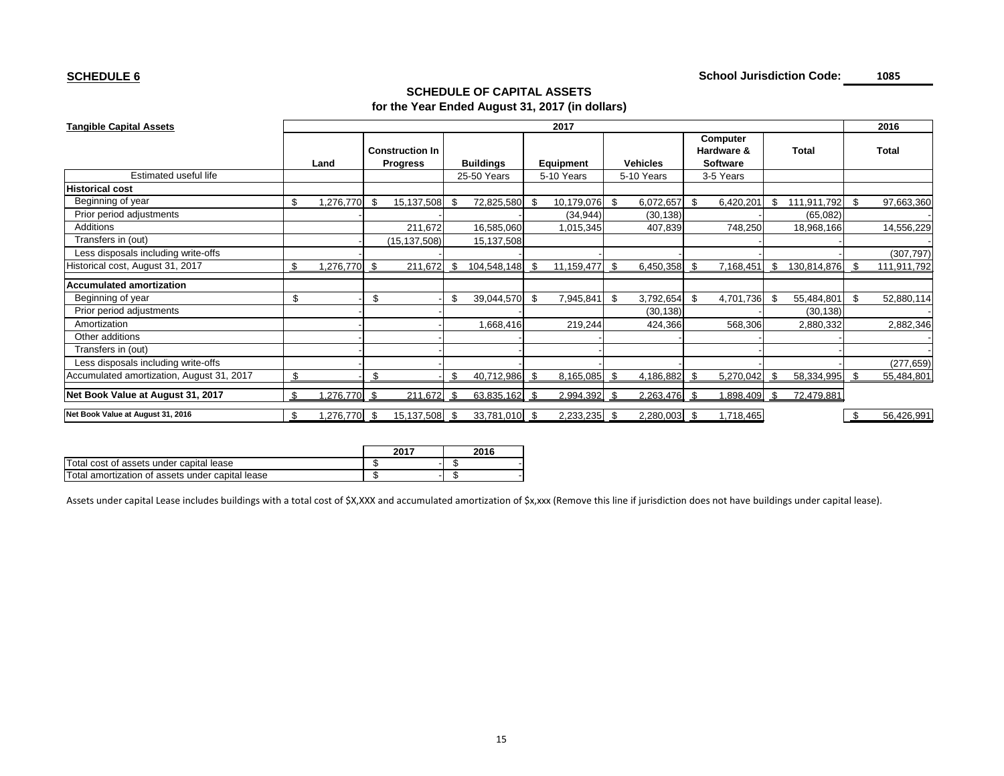#### **SCHEDULE 6 School Jurisdiction Code: 1085**

#### **SCHEDULE OF CAPITAL ASSETS for the Year Ended August 31, 2017 (in dollars)**

| <b>Tangible Capital Assets</b>            |     |           |               |                        |      |                  |            | 2017       |                 |              |                                           |           |              |             |              | 2016        |
|-------------------------------------------|-----|-----------|---------------|------------------------|------|------------------|------------|------------|-----------------|--------------|-------------------------------------------|-----------|--------------|-------------|--------------|-------------|
|                                           |     |           |               | <b>Construction In</b> |      |                  | Equipment  |            | <b>Vehicles</b> |              | Computer<br>Hardware &<br><b>Software</b> |           | <b>Total</b> |             | <b>Total</b> |             |
| Estimated useful life                     |     | Land      |               | <b>Progress</b>        |      | <b>Buildings</b> | 5-10 Years |            | 5-10 Years      |              |                                           |           |              |             |              |             |
| <b>Historical cost</b>                    |     |           |               |                        |      | 25-50 Years      |            |            |                 |              |                                           | 3-5 Years |              |             |              |             |
|                                           |     |           |               |                        |      |                  |            |            |                 |              |                                           |           |              |             |              |             |
| Beginning of year                         | \$  | ,276,770  | \$            | 15,137,508             | - \$ | 72,825,580       | \$.        | 10,179,076 | \$              | 6,072,657    | \$                                        | 6,420,201 | \$           | 111,911,792 | \$           | 97,663,360  |
| Prior period adjustments                  |     |           |               |                        |      |                  |            | (34, 944)  |                 | (30, 138)    |                                           |           |              | (65,082)    |              |             |
| Additions                                 |     |           |               | 211,672                |      | 16,585,060       |            | 1,015,345  |                 | 407,839      |                                           | 748,250   |              | 18,968,166  |              | 14,556,229  |
| Transfers in (out)                        |     |           |               | (15, 137, 508)         |      | 15,137,508       |            |            |                 |              |                                           |           |              |             |              |             |
| Less disposals including write-offs       |     |           |               |                        |      |                  |            |            |                 |              |                                           |           |              |             |              | (307, 797)  |
| Historical cost, August 31, 2017          | \$  | 1,276,770 | \$.           | 211,672                | \$   | 104,548,148      | \$.        | 11,159,477 | \$.             | 6,450,358    | -\$                                       | 7,168,451 | \$           | 130,814,876 | -\$          | 111,911,792 |
| <b>Accumulated amortization</b>           |     |           |               |                        |      |                  |            |            |                 |              |                                           |           |              |             |              |             |
| Beginning of year                         | \$  |           | \$            |                        | \$   | 39,044,570       | -\$        | 7,945,841  | \$              | 3,792,654    | \$.                                       | 4,701,736 | \$.          | 55,484,801  |              | 52,880,114  |
| Prior period adjustments                  |     |           |               |                        |      |                  |            |            |                 | (30, 138)    |                                           |           |              | (30, 138)   |              |             |
| Amortization                              |     |           |               |                        |      | 1,668,416        |            | 219,244    |                 | 424,366      |                                           | 568,306   |              | 2,880,332   |              | 2,882,346   |
| Other additions                           |     |           |               |                        |      |                  |            |            |                 |              |                                           |           |              |             |              |             |
| Transfers in (out)                        |     |           |               |                        |      |                  |            |            |                 |              |                                           |           |              |             |              |             |
| Less disposals including write-offs       |     |           |               |                        |      |                  |            |            |                 |              |                                           |           |              |             |              | (277, 659)  |
| Accumulated amortization, August 31, 2017 | \$. |           | $\mathbf{\$}$ |                        | -\$  | 40,712,986       | - \$       | 8,165,085  | \$              | 4,186,882    | -\$                                       | 5,270,042 | \$.          | 58,334,995  | - \$         | 55,484,801  |
| Net Book Value at August 31, 2017         | \$  | ,276,770  | -\$           | 211,672                | - \$ | 63,835,162       | - \$       | 2,994,392  | -\$             | 2,263,476 \$ |                                           | .898,409  | \$           | 72,479,881  |              |             |
| Net Book Value at August 31, 2016         | \$  | ,276,770  | - \$          | 15,137,508 \$          |      | 33,781,010 \$    |            | 2,233,235  | -\$             | 2,280,003 \$ |                                           | 1,718,465 |              |             |              | 56,426,991  |

|                                                  | 2017 | 2016 |
|--------------------------------------------------|------|------|
| Total cost of assets under capital lease         |      |      |
| Total amortization of assets under capital lease |      |      |

Assets under capital Lease includes buildings with a total cost of \$X,XXX and accumulated amortization of \$x,xxx (Remove this line if jurisdiction does not have buildings under capital lease).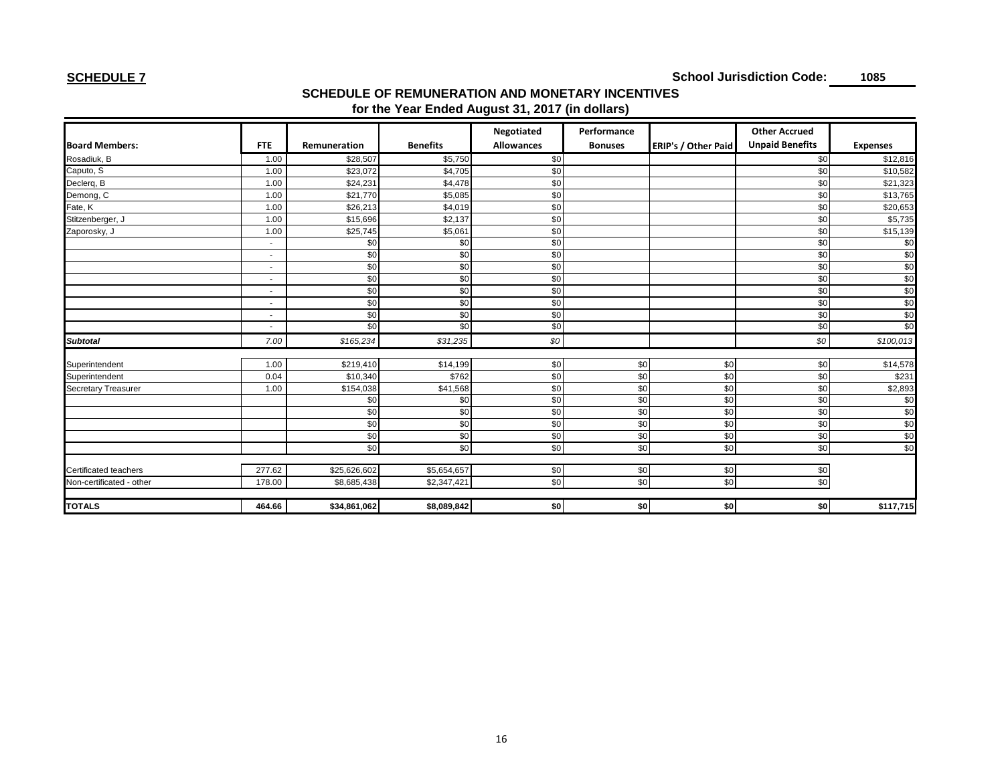#### **SCHEDULE 7 School Jurisdiction Code: 1085**

# **SCHEDULE OF REMUNERATION AND MONETARY INCENTIVES**

# **for the Year Ended August 31, 2017 (in dollars)**

|                          |                                |                                                                                              | Negotiated                                                                                | Performance       |                                                                                                                                         | <b>Other Accrued</b>                                                                                           |                                                                                       |
|--------------------------|--------------------------------|----------------------------------------------------------------------------------------------|-------------------------------------------------------------------------------------------|-------------------|-----------------------------------------------------------------------------------------------------------------------------------------|----------------------------------------------------------------------------------------------------------------|---------------------------------------------------------------------------------------|
| FTE                      | Remuneration                   | <b>Benefits</b>                                                                              | Allowances                                                                                | <b>Bonuses</b>    |                                                                                                                                         | <b>Unpaid Benefits</b>                                                                                         | <b>Expenses</b>                                                                       |
| 1.00                     | \$28,507                       | \$5,750                                                                                      | \$0                                                                                       |                   |                                                                                                                                         | \$0                                                                                                            | \$12,816                                                                              |
| 1.00                     | \$23,072                       | \$4,705                                                                                      | \$0                                                                                       |                   |                                                                                                                                         | \$0                                                                                                            | \$10,582                                                                              |
| 1.00                     | \$24,231                       | \$4,478                                                                                      | \$0                                                                                       |                   |                                                                                                                                         | \$0                                                                                                            | \$21,323                                                                              |
| 1.00                     | \$21,770                       | \$5,085                                                                                      | \$0                                                                                       |                   |                                                                                                                                         | \$0                                                                                                            | \$13,765                                                                              |
| 1.00                     | \$26,213                       | \$4,019                                                                                      | \$0                                                                                       |                   |                                                                                                                                         | $\$0$                                                                                                          | \$20,653                                                                              |
| 1.00                     | \$15,696                       | \$2,137                                                                                      | \$0                                                                                       |                   |                                                                                                                                         | \$0                                                                                                            | \$5,735                                                                               |
| 1.00                     | \$25,745                       | \$5,061                                                                                      |                                                                                           |                   |                                                                                                                                         | \$0                                                                                                            | \$15,139                                                                              |
| $\overline{\phantom{a}}$ | \$0                            | \$0                                                                                          | $\frac{6}{5}$                                                                             |                   |                                                                                                                                         | \$0                                                                                                            | \$0                                                                                   |
| $\sim$                   | \$0                            | \$0                                                                                          | $\frac{6}{5}$                                                                             |                   |                                                                                                                                         | \$0                                                                                                            | \$0                                                                                   |
| $\overline{\phantom{a}}$ | \$0                            | \$0                                                                                          | \$0                                                                                       |                   |                                                                                                                                         | \$0                                                                                                            | \$0                                                                                   |
| $\overline{\phantom{a}}$ | $\frac{6}{5}$                  | $\frac{6}{5}$                                                                                | \$0                                                                                       |                   |                                                                                                                                         | \$0                                                                                                            | \$0                                                                                   |
| ж.                       | \$0                            | \$0                                                                                          | \$0                                                                                       |                   |                                                                                                                                         | \$0                                                                                                            | \$0                                                                                   |
| $\overline{\phantom{a}}$ | \$0                            | \$0                                                                                          | \$0                                                                                       |                   |                                                                                                                                         | \$0                                                                                                            | \$0                                                                                   |
| $\sim$                   | \$0                            | $\frac{6}{5}$                                                                                | $\frac{6}{5}$                                                                             |                   |                                                                                                                                         | \$0                                                                                                            | \$0                                                                                   |
| $\overline{\phantom{a}}$ |                                | \$0                                                                                          |                                                                                           |                   |                                                                                                                                         | \$0                                                                                                            | \$0                                                                                   |
| 7.00                     | \$165,234                      | \$31,235                                                                                     | \$0                                                                                       |                   |                                                                                                                                         | \$0                                                                                                            | \$100,013                                                                             |
|                          |                                |                                                                                              |                                                                                           |                   |                                                                                                                                         |                                                                                                                | \$14,578                                                                              |
|                          |                                |                                                                                              |                                                                                           |                   |                                                                                                                                         |                                                                                                                | \$231                                                                                 |
|                          |                                |                                                                                              |                                                                                           |                   |                                                                                                                                         |                                                                                                                | \$2,893                                                                               |
|                          |                                |                                                                                              |                                                                                           |                   |                                                                                                                                         |                                                                                                                | \$0                                                                                   |
|                          |                                |                                                                                              |                                                                                           |                   |                                                                                                                                         |                                                                                                                | $\frac{6}{3}$                                                                         |
|                          |                                |                                                                                              |                                                                                           |                   |                                                                                                                                         |                                                                                                                | \$0                                                                                   |
|                          |                                |                                                                                              |                                                                                           |                   |                                                                                                                                         |                                                                                                                | \$0                                                                                   |
|                          |                                |                                                                                              |                                                                                           |                   |                                                                                                                                         |                                                                                                                | \$0                                                                                   |
|                          |                                |                                                                                              |                                                                                           |                   |                                                                                                                                         |                                                                                                                |                                                                                       |
| 277.62                   | \$25,626,602                   | \$5,654,657                                                                                  |                                                                                           |                   | \$0                                                                                                                                     |                                                                                                                |                                                                                       |
| 178.00                   | \$8,685,438                    | \$2,347,421                                                                                  |                                                                                           |                   | \$0                                                                                                                                     |                                                                                                                |                                                                                       |
|                          |                                |                                                                                              |                                                                                           |                   |                                                                                                                                         |                                                                                                                | \$117,715                                                                             |
|                          | 1.00<br>0.04<br>1.00<br>464.66 | \$0<br>\$219,410<br>\$10,340<br>\$154,038<br>\$0<br>\$0<br>\$0<br>\$0<br>\$0<br>\$34,861,062 | \$14,199<br>\$762<br>\$41,568<br>\$0<br>\$0<br>$\frac{6}{5}$<br>\$0<br>\$0<br>\$8,089,842 | \$0<br>\$0<br>\$0 | \$0<br>\$0<br>\$0<br>\$0<br>\$0<br>\$0<br>$\frac{6}{3}$<br>\$0<br>\$0<br>$\frac{6}{5}$<br>\$0<br>\$0<br>\$0<br>\$0<br>\$0<br>\$0<br>\$0 | <b>ERIP's / Other Paid</b><br>\$0<br>\$0<br>\$0<br>\$0<br>\$0<br>\$0<br>\$0<br>\$0<br>\$0<br>\$0<br>\$0<br>\$0 | \$0<br>\$0<br>\$0<br>\$0<br>\$0<br>\$0<br>\$0<br>\$0<br>$\frac{$0}{$0}$<br>\$0<br>\$0 |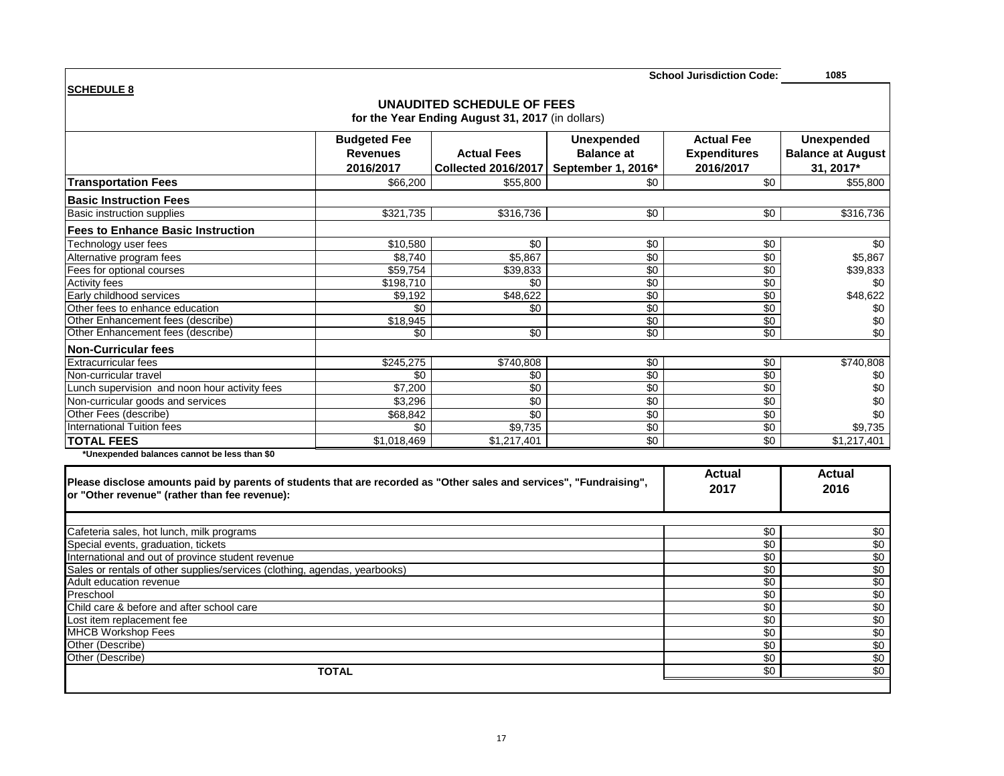|                                                                                                                     |                     |                                                  |                    | <b>School Jurisdiction Code:</b> | 1085                     |
|---------------------------------------------------------------------------------------------------------------------|---------------------|--------------------------------------------------|--------------------|----------------------------------|--------------------------|
| <b>SCHEDULE 8</b>                                                                                                   |                     |                                                  |                    |                                  |                          |
|                                                                                                                     |                     | UNAUDITED SCHEDULE OF FEES                       |                    |                                  |                          |
|                                                                                                                     |                     | for the Year Ending August 31, 2017 (in dollars) |                    |                                  |                          |
|                                                                                                                     |                     |                                                  |                    |                                  |                          |
|                                                                                                                     | <b>Budgeted Fee</b> |                                                  | <b>Unexpended</b>  | <b>Actual Fee</b>                | <b>Unexpended</b>        |
|                                                                                                                     | <b>Revenues</b>     | <b>Actual Fees</b>                               | <b>Balance at</b>  | <b>Expenditures</b>              | <b>Balance at August</b> |
|                                                                                                                     | 2016/2017           | <b>Collected 2016/2017</b>                       | September 1, 2016* | 2016/2017                        | 31, 2017*                |
| <b>Transportation Fees</b>                                                                                          | \$66,200            | \$55,800                                         | \$0                | \$0                              | \$55,800                 |
| <b>Basic Instruction Fees</b>                                                                                       |                     |                                                  |                    |                                  |                          |
| <b>Basic instruction supplies</b>                                                                                   | \$321,735           | \$316,736                                        | \$0                | \$0                              | \$316,736                |
| <b>Fees to Enhance Basic Instruction</b>                                                                            |                     |                                                  |                    |                                  |                          |
| Technology user fees                                                                                                | \$10,580            | \$0                                              | \$0                | \$0                              | \$0                      |
| Alternative program fees                                                                                            | \$8,740             | \$5,867                                          | \$0                | \$0                              | \$5,867                  |
| Fees for optional courses                                                                                           | \$59,754            | \$39,833                                         | \$0                | \$0                              | \$39,833                 |
| Activity fees                                                                                                       | \$198,710           | \$0                                              | \$0                | \$0                              | \$0                      |
| Early childhood services                                                                                            | \$9,192             | \$48,622                                         | \$0                | \$0                              | \$48,622                 |
| Other fees to enhance education                                                                                     | \$0                 | \$0                                              | \$0                | \$0                              | \$0                      |
| Other Enhancement fees (describe)                                                                                   | \$18,945            |                                                  | \$0                | $\sqrt{6}$                       | \$0                      |
| Other Enhancement fees (describe)                                                                                   | \$0                 | \$0                                              | \$0                | \$0                              | \$0                      |
| <b>Non-Curricular fees</b>                                                                                          |                     |                                                  |                    |                                  |                          |
| <b>Extracurricular fees</b>                                                                                         | \$245,275           | \$740,808                                        | \$0                | \$0                              | \$740,808                |
| Non-curricular travel                                                                                               | \$0                 | \$0                                              | \$0                | $\sqrt{6}$                       | \$0                      |
| Lunch supervision and noon hour activity fees                                                                       | \$7,200             | \$0                                              | \$0                | \$0                              | \$0                      |
| Non-curricular goods and services                                                                                   | \$3,296             | $\overline{30}$                                  | \$0                | \$0                              | \$0                      |
| Other Fees (describe)                                                                                               | \$68,842            | \$0                                              | \$0                | \$0                              | \$0                      |
| International Tuition fees                                                                                          | \$0                 | \$9,735                                          | \$0                | \$0                              | \$9,735                  |
| <b>TOTAL FEES</b>                                                                                                   | \$1,018,469         | \$1,217,401                                      | \$0                | \$0                              | \$1,217,401              |
| *Unexpended balances cannot be less than \$0                                                                        |                     |                                                  |                    |                                  |                          |
|                                                                                                                     |                     |                                                  |                    | <b>Actual</b>                    | <b>Actual</b>            |
| Please disclose amounts paid by parents of students that are recorded as "Other sales and services", "Fundraising", |                     |                                                  |                    | 2017                             | 2016                     |
| or "Other revenue" (rather than fee revenue):                                                                       |                     |                                                  |                    |                                  |                          |
|                                                                                                                     |                     |                                                  |                    |                                  |                          |
| Cafeteria sales, hot lunch, milk programs                                                                           |                     |                                                  |                    | \$0                              | $\sqrt{6}$               |
| Special events, graduation, tickets                                                                                 |                     |                                                  |                    | $\overline{60}$                  | \$0                      |
| International and out of province student revenue                                                                   |                     |                                                  |                    | \$0                              | \$0                      |
| Sales or rentals of other supplies/services (clothing, agendas, yearbooks)                                          |                     |                                                  |                    | $\sqrt{6}$                       | $\sqrt{6}$               |
| Adult education revenue                                                                                             |                     |                                                  |                    | $\overline{60}$                  | $\overline{50}$          |
| Preschool                                                                                                           |                     |                                                  |                    | $\overline{50}$                  | \$0                      |
| Child care & before and after school care                                                                           |                     |                                                  |                    | \$0                              | \$0                      |
| Lost item replacement fee                                                                                           |                     |                                                  |                    | \$0                              | \$0                      |
| <b>MHCB Workshop Fees</b>                                                                                           |                     |                                                  |                    | \$0                              | \$0                      |
| Other (Describe)                                                                                                    |                     |                                                  |                    | \$0                              | $\sqrt{6}$               |
| Other (Describe)                                                                                                    |                     |                                                  |                    | $\sqrt{6}$                       | $\sqrt{6}$               |
|                                                                                                                     | <b>TOTAL</b>        |                                                  |                    | \$0                              | $\sqrt{6}$               |
|                                                                                                                     |                     |                                                  |                    |                                  |                          |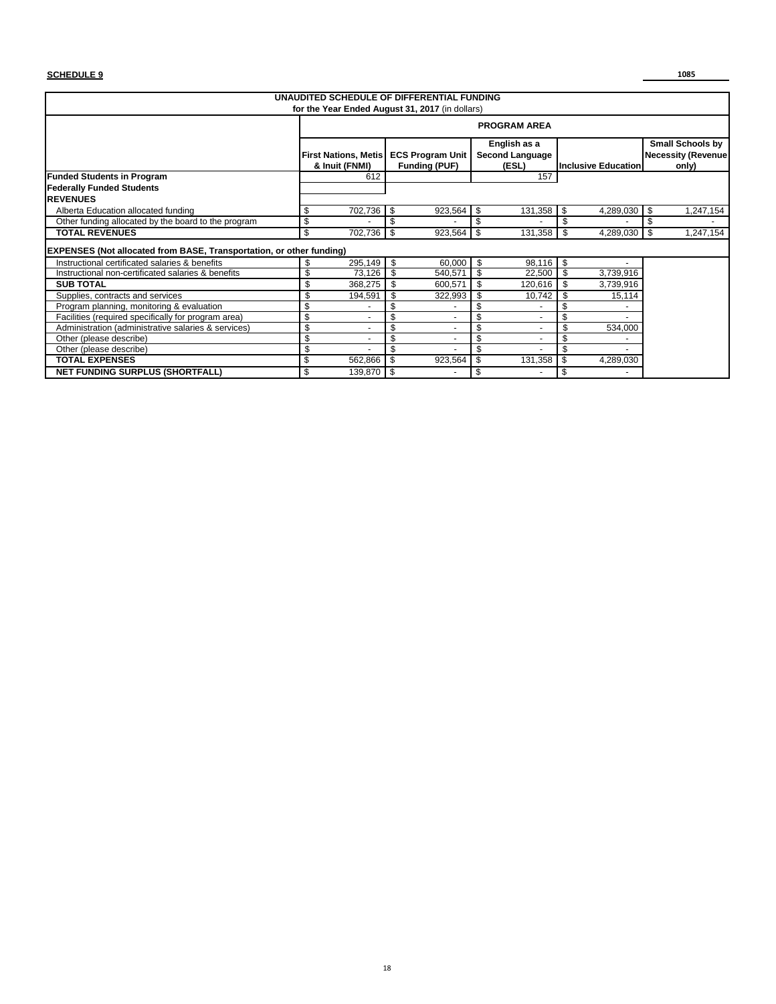#### **SCHEDULE 9 1085**

|                                                                             |                                               | UNAUDITED SCHEDULE OF DIFFERENTIAL FUNDING<br>for the Year Ended August 31, 2017 (in dollars) |                                                 |     |                            |      |                                                               |
|-----------------------------------------------------------------------------|-----------------------------------------------|-----------------------------------------------------------------------------------------------|-------------------------------------------------|-----|----------------------------|------|---------------------------------------------------------------|
|                                                                             |                                               |                                                                                               | <b>PROGRAM AREA</b>                             |     |                            |      |                                                               |
|                                                                             | <b>First Nations, Metis</b><br>& Inuit (FNMI) | <b>ECS Program Unit</b><br><b>Funding (PUF)</b>                                               | English as a<br><b>Second Language</b><br>(ESL) |     | <b>Inclusive Education</b> |      | <b>Small Schools by</b><br><b>Necessity (Revenue</b><br>only) |
| <b>Funded Students in Program</b>                                           | 612                                           |                                                                                               | 157                                             |     |                            |      |                                                               |
| <b>Federally Funded Students</b>                                            |                                               |                                                                                               |                                                 |     |                            |      |                                                               |
| <b>REVENUES</b>                                                             |                                               |                                                                                               |                                                 |     |                            |      |                                                               |
| Alberta Education allocated funding                                         | \$<br>702,736                                 | 923,564<br>-\$                                                                                | \$<br>131,358                                   | \$  | 4,289,030                  | -S   | 1,247,154                                                     |
| Other funding allocated by the board to the program                         | \$                                            |                                                                                               | \$                                              |     |                            |      |                                                               |
| <b>TOTAL REVENUES</b>                                                       | \$<br>702,736 \$                              | 923,564                                                                                       | \$<br>131,358                                   | \$. | 4,289,030                  | l \$ | 1,247,154                                                     |
| <b>EXPENSES (Not allocated from BASE, Transportation, or other funding)</b> |                                               |                                                                                               |                                                 |     |                            |      |                                                               |
| Instructional certificated salaries & benefits                              | \$<br>295,149 \$                              | 60.000                                                                                        | \$<br>98,116 \$                                 |     |                            |      |                                                               |
| Instructional non-certificated salaries & benefits                          | 73,126                                        | 540.571<br>l \$                                                                               | \$<br>22,500 \$                                 |     | 3,739,916                  |      |                                                               |
| <b>SUB TOTAL</b>                                                            | \$<br>368,275                                 | \$<br>600,571                                                                                 | \$<br>120,616 \$                                |     | 3,739,916                  |      |                                                               |
| Supplies, contracts and services                                            | \$<br>194,591                                 | \$.<br>322,993                                                                                | \$<br>10,742                                    |     | 15,114                     |      |                                                               |
| Program planning, monitoring & evaluation                                   | \$                                            |                                                                                               | \$                                              |     |                            |      |                                                               |
| Facilities (required specifically for program area)                         | \$                                            | \$                                                                                            | \$                                              |     |                            |      |                                                               |
| Administration (administrative salaries & services)                         | \$                                            | \$                                                                                            | \$                                              |     | 534,000                    |      |                                                               |
| Other (please describe)                                                     | \$                                            | \$                                                                                            | \$                                              |     |                            |      |                                                               |
| Other (please describe)                                                     | \$                                            | \$                                                                                            | \$                                              |     |                            |      |                                                               |
| <b>TOTAL EXPENSES</b>                                                       | \$<br>562,866                                 | \$<br>923,564                                                                                 | \$<br>131,358                                   |     | 4,289,030                  |      |                                                               |
| <b>NET FUNDING SURPLUS (SHORTFALL)</b>                                      | \$<br>139,870                                 | -\$                                                                                           | \$                                              |     |                            |      |                                                               |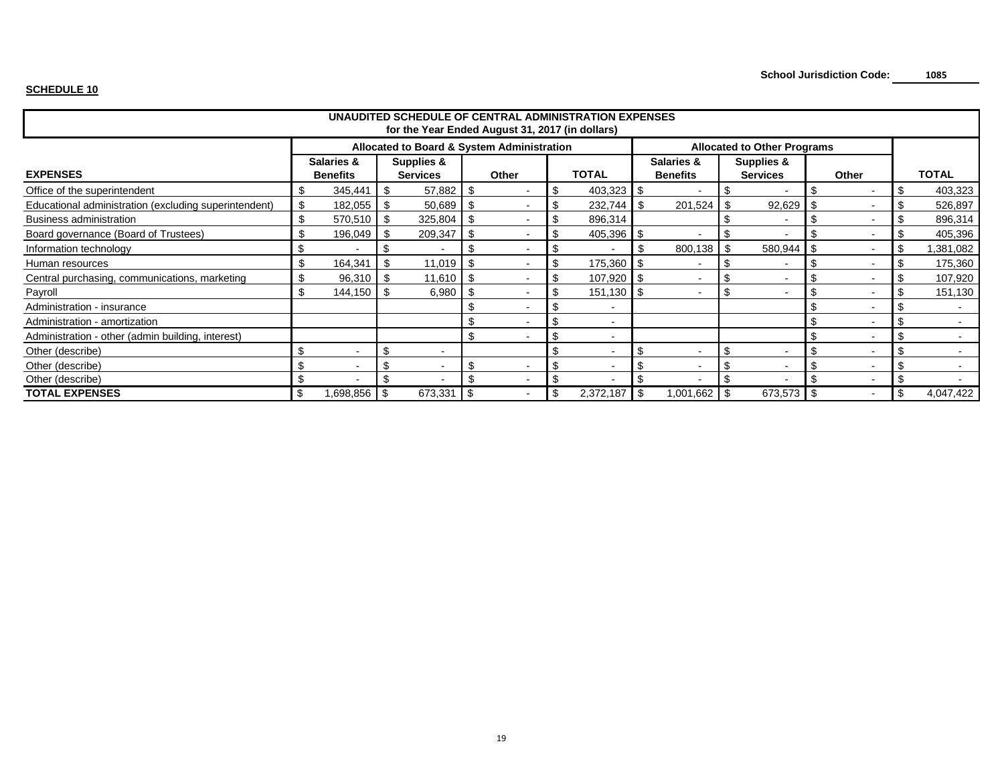#### **School Jurisdiction Code: 1085**

#### **SCHEDULE 10**

|                                                       |                                |      |                               |           | for the Year Ended August 31, 2017 (in dollars) | UNAUDITED SCHEDULE OF CENTRAL ADMINISTRATION EXPENSES |                                    |                               |  |                               |                |       |     |              |
|-------------------------------------------------------|--------------------------------|------|-------------------------------|-----------|-------------------------------------------------|-------------------------------------------------------|------------------------------------|-------------------------------|--|-------------------------------|----------------|-------|-----|--------------|
|                                                       |                                |      |                               |           | Allocated to Board & System Administration      |                                                       | <b>Allocated to Other Programs</b> |                               |  |                               |                |       |     |              |
| <b>EXPENSES</b>                                       | Salaries &<br><b>Benefits</b>  |      | Supplies &<br><b>Services</b> |           | Other                                           | <b>TOTAL</b>                                          |                                    | Salaries &<br><b>Benefits</b> |  | Supplies &<br><b>Services</b> |                | Other |     | <b>TOTAL</b> |
| Office of the superintendent                          | 345,441                        | -\$  | 57,882                        | -S        | $\blacksquare$                                  | 403,323                                               | -\$                                |                               |  |                               |                |       | \$  | 403,323      |
| Educational administration (excluding superintendent) | \$<br>182,055                  | -\$  | 50,689                        | \$        |                                                 | 232,744                                               | l \$                               | $201,524$ \$                  |  | 92,629                        |                |       |     | 526,897      |
| Business administration                               | \$<br>570,510                  | - \$ | 325,804                       | \$.       | $\overline{\phantom{a}}$                        | 896,314                                               |                                    |                               |  |                               |                |       | £.  | 896,314      |
| Board governance (Board of Trustees)                  | \$<br>196,049                  | -\$  | 209,347                       | \$        | $\overline{\phantom{a}}$                        | 405,396                                               | -\$                                |                               |  |                               |                |       | £   | 405,396      |
| Information technology                                | \$<br>$\overline{\phantom{0}}$ |      |                               |           | $\overline{\phantom{a}}$                        | -                                                     |                                    | $800,138$ \$                  |  | 580,944                       | -S             |       | \$. | 1,381,082    |
| Human resources                                       | 164,341                        |      | $11,019$ \ \$                 |           |                                                 | 175,360                                               |                                    |                               |  |                               |                |       |     | 175,360      |
| Central purchasing, communications, marketing         | \$<br>96,310                   | -\$  | 11,610                        | -S        |                                                 | 107,920                                               | - \$                               |                               |  |                               |                |       | - 5 | 107,920      |
| Payroll                                               | \$<br>144,150                  |      | 6,980                         |           |                                                 | 151,130                                               |                                    |                               |  |                               |                |       |     | 151,130      |
| Administration - insurance                            |                                |      |                               |           |                                                 | $\overline{\phantom{a}}$                              |                                    |                               |  |                               |                |       |     |              |
| Administration - amortization                         |                                |      |                               |           |                                                 | $\blacksquare$                                        |                                    |                               |  |                               |                |       |     |              |
| Administration - other (admin building, interest)     |                                |      |                               | \$        |                                                 |                                                       |                                    |                               |  |                               |                |       |     |              |
| Other (describe)                                      | \$                             |      |                               |           |                                                 | ۰                                                     |                                    |                               |  |                               |                |       |     |              |
| Other (describe)                                      | \$<br>$\overline{\phantom{0}}$ |      |                               | \$        |                                                 | -                                                     |                                    |                               |  |                               |                |       |     |              |
| Other (describe)                                      | \$                             |      |                               | \$        | $\blacksquare$                                  |                                                       |                                    |                               |  |                               |                |       |     |              |
| <b>TOTAL EXPENSES</b>                                 | \$<br>1,698,856 \$             |      | 673,331                       | <b>IS</b> | $\blacksquare$                                  | 2,372,187                                             | -\$                                | 1,001,662 \$                  |  | 673,573                       | $\overline{1}$ |       | S   | 4,047,422    |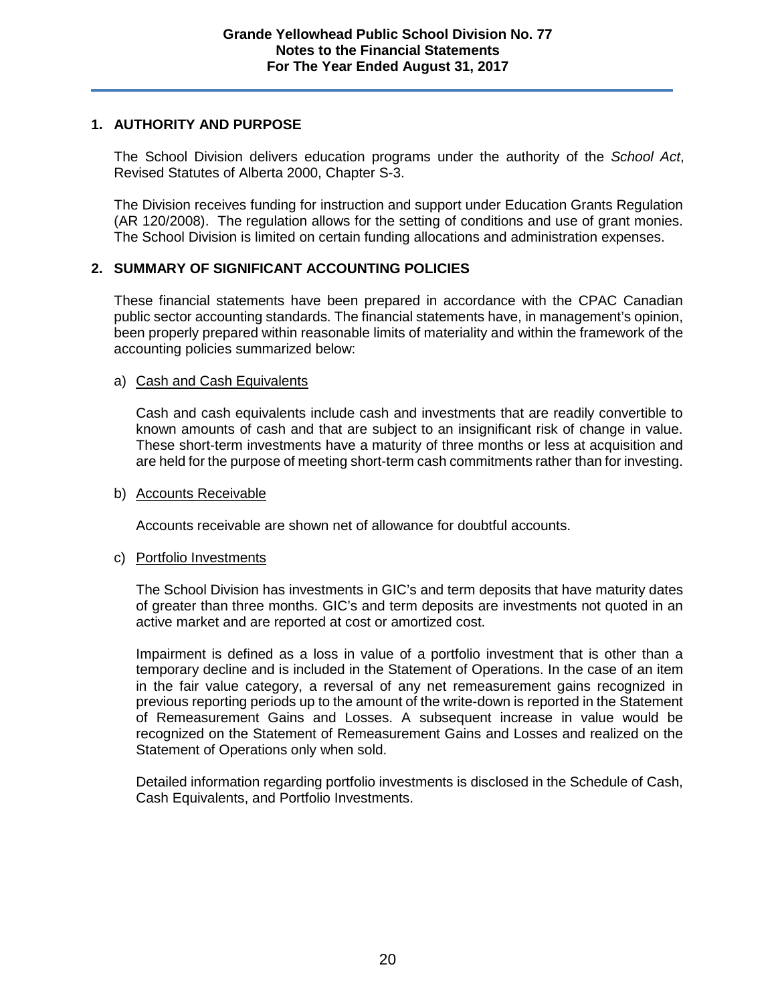## **1. AUTHORITY AND PURPOSE**

The School Division delivers education programs under the authority of the *School Act*, Revised Statutes of Alberta 2000, Chapter S-3.

The Division receives funding for instruction and support under Education Grants Regulation (AR 120/2008). The regulation allows for the setting of conditions and use of grant monies. The School Division is limited on certain funding allocations and administration expenses.

## **2. SUMMARY OF SIGNIFICANT ACCOUNTING POLICIES**

These financial statements have been prepared in accordance with the CPAC Canadian public sector accounting standards. The financial statements have, in management's opinion, been properly prepared within reasonable limits of materiality and within the framework of the accounting policies summarized below:

#### a) Cash and Cash Equivalents

Cash and cash equivalents include cash and investments that are readily convertible to known amounts of cash and that are subject to an insignificant risk of change in value. These short-term investments have a maturity of three months or less at acquisition and are held for the purpose of meeting short-term cash commitments rather than for investing.

#### b) Accounts Receivable

Accounts receivable are shown net of allowance for doubtful accounts.

#### c) Portfolio Investments

The School Division has investments in GIC's and term deposits that have maturity dates of greater than three months. GIC's and term deposits are investments not quoted in an active market and are reported at cost or amortized cost.

Impairment is defined as a loss in value of a portfolio investment that is other than a temporary decline and is included in the Statement of Operations. In the case of an item in the fair value category, a reversal of any net remeasurement gains recognized in previous reporting periods up to the amount of the write-down is reported in the Statement of Remeasurement Gains and Losses. A subsequent increase in value would be recognized on the Statement of Remeasurement Gains and Losses and realized on the Statement of Operations only when sold.

Detailed information regarding portfolio investments is disclosed in the Schedule of Cash, Cash Equivalents, and Portfolio Investments.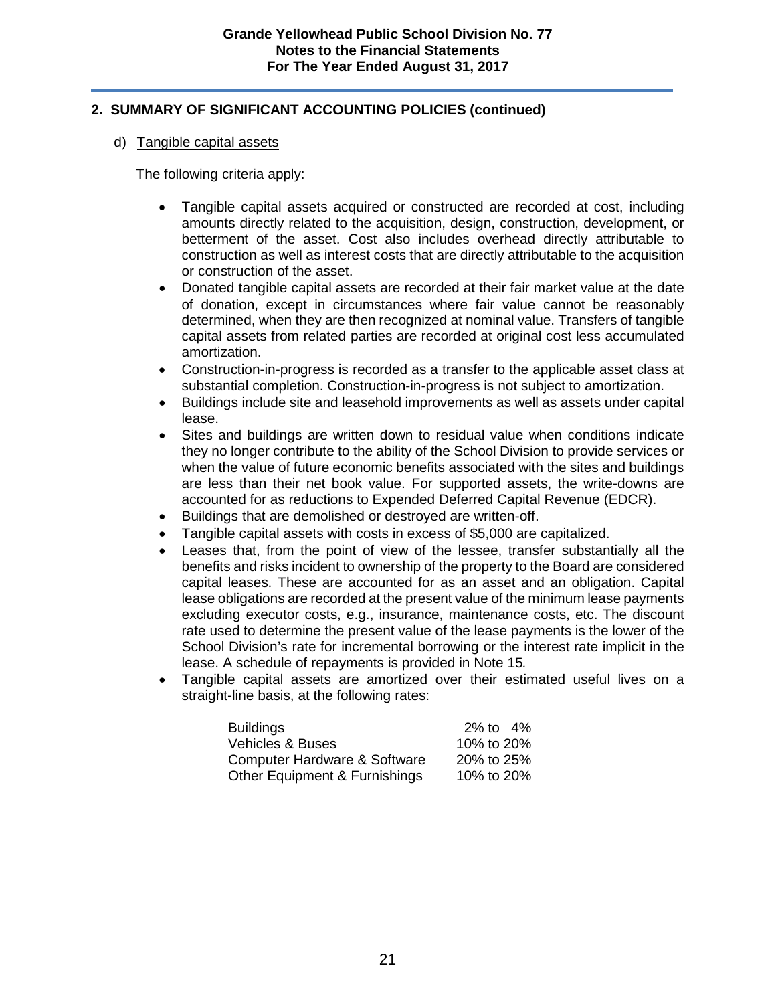d) Tangible capital assets

The following criteria apply:

- Tangible capital assets acquired or constructed are recorded at cost, including amounts directly related to the acquisition, design, construction, development, or betterment of the asset. Cost also includes overhead directly attributable to construction as well as interest costs that are directly attributable to the acquisition or construction of the asset.
- Donated tangible capital assets are recorded at their fair market value at the date of donation, except in circumstances where fair value cannot be reasonably determined, when they are then recognized at nominal value. Transfers of tangible capital assets from related parties are recorded at original cost less accumulated amortization.
- Construction-in-progress is recorded as a transfer to the applicable asset class at substantial completion. Construction-in-progress is not subject to amortization.
- Buildings include site and leasehold improvements as well as assets under capital lease.
- Sites and buildings are written down to residual value when conditions indicate they no longer contribute to the ability of the School Division to provide services or when the value of future economic benefits associated with the sites and buildings are less than their net book value. For supported assets, the write-downs are accounted for as reductions to Expended Deferred Capital Revenue (EDCR).
- Buildings that are demolished or destroyed are written-off.
- Tangible capital assets with costs in excess of \$5,000 are capitalized.
- Leases that, from the point of view of the lessee, transfer substantially all the benefits and risks incident to ownership of the property to the Board are considered capital leases. These are accounted for as an asset and an obligation. Capital lease obligations are recorded at the present value of the minimum lease payments excluding executor costs, e.g., insurance, maintenance costs, etc. The discount rate used to determine the present value of the lease payments is the lower of the School Division's rate for incremental borrowing or the interest rate implicit in the lease. A schedule of repayments is provided in Note 15*.*
- Tangible capital assets are amortized over their estimated useful lives on a straight-line basis, at the following rates:

| <b>Buildings</b>              | $2\%$ to $4\%$ |
|-------------------------------|----------------|
| <b>Vehicles &amp; Buses</b>   | 10% to 20%     |
| Computer Hardware & Software  | 20% to 25%     |
| Other Equipment & Furnishings | 10% to 20%     |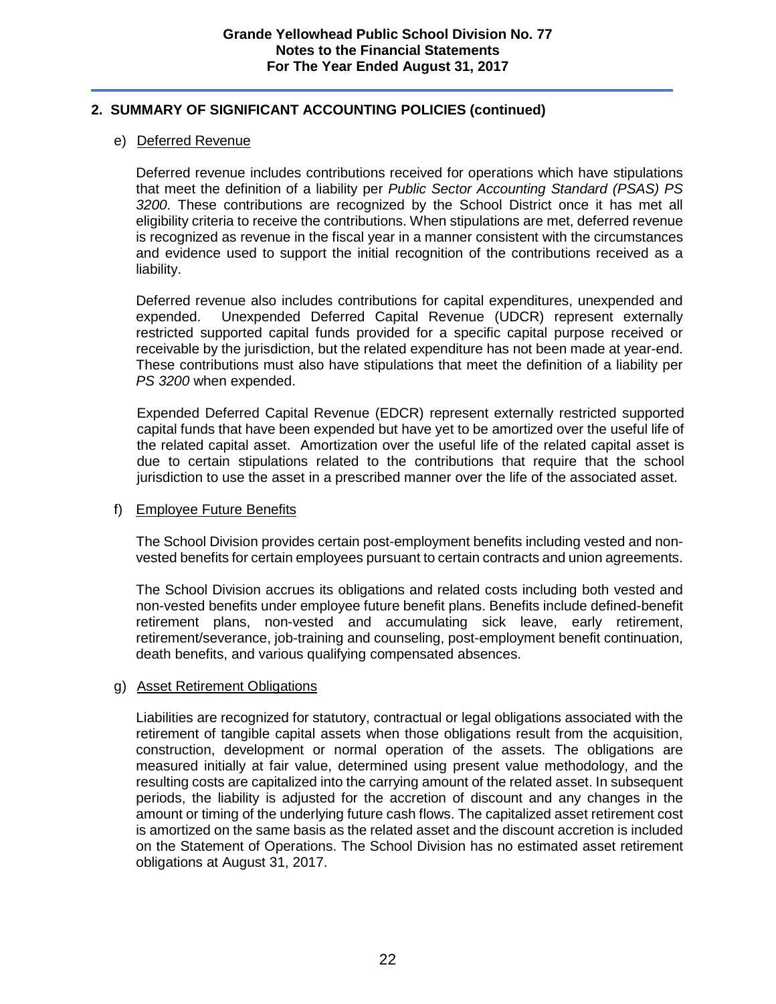#### e) Deferred Revenue

Deferred revenue includes contributions received for operations which have stipulations that meet the definition of a liability per *Public Sector Accounting Standard (PSAS) PS 3200*. These contributions are recognized by the School District once it has met all eligibility criteria to receive the contributions. When stipulations are met, deferred revenue is recognized as revenue in the fiscal year in a manner consistent with the circumstances and evidence used to support the initial recognition of the contributions received as a liability.

Deferred revenue also includes contributions for capital expenditures, unexpended and expended. Unexpended Deferred Capital Revenue (UDCR) represent externally restricted supported capital funds provided for a specific capital purpose received or receivable by the jurisdiction, but the related expenditure has not been made at year-end. These contributions must also have stipulations that meet the definition of a liability per *PS 3200* when expended.

Expended Deferred Capital Revenue (EDCR) represent externally restricted supported capital funds that have been expended but have yet to be amortized over the useful life of the related capital asset. Amortization over the useful life of the related capital asset is due to certain stipulations related to the contributions that require that the school jurisdiction to use the asset in a prescribed manner over the life of the associated asset.

#### f) Employee Future Benefits

The School Division provides certain post-employment benefits including vested and nonvested benefits for certain employees pursuant to certain contracts and union agreements.

The School Division accrues its obligations and related costs including both vested and non-vested benefits under employee future benefit plans. Benefits include defined-benefit retirement plans, non-vested and accumulating sick leave, early retirement, retirement/severance, job-training and counseling, post-employment benefit continuation, death benefits, and various qualifying compensated absences.

## g) Asset Retirement Obligations

Liabilities are recognized for statutory, contractual or legal obligations associated with the retirement of tangible capital assets when those obligations result from the acquisition, construction, development or normal operation of the assets. The obligations are measured initially at fair value, determined using present value methodology, and the resulting costs are capitalized into the carrying amount of the related asset. In subsequent periods, the liability is adjusted for the accretion of discount and any changes in the amount or timing of the underlying future cash flows. The capitalized asset retirement cost is amortized on the same basis as the related asset and the discount accretion is included on the Statement of Operations. The School Division has no estimated asset retirement obligations at August 31, 2017.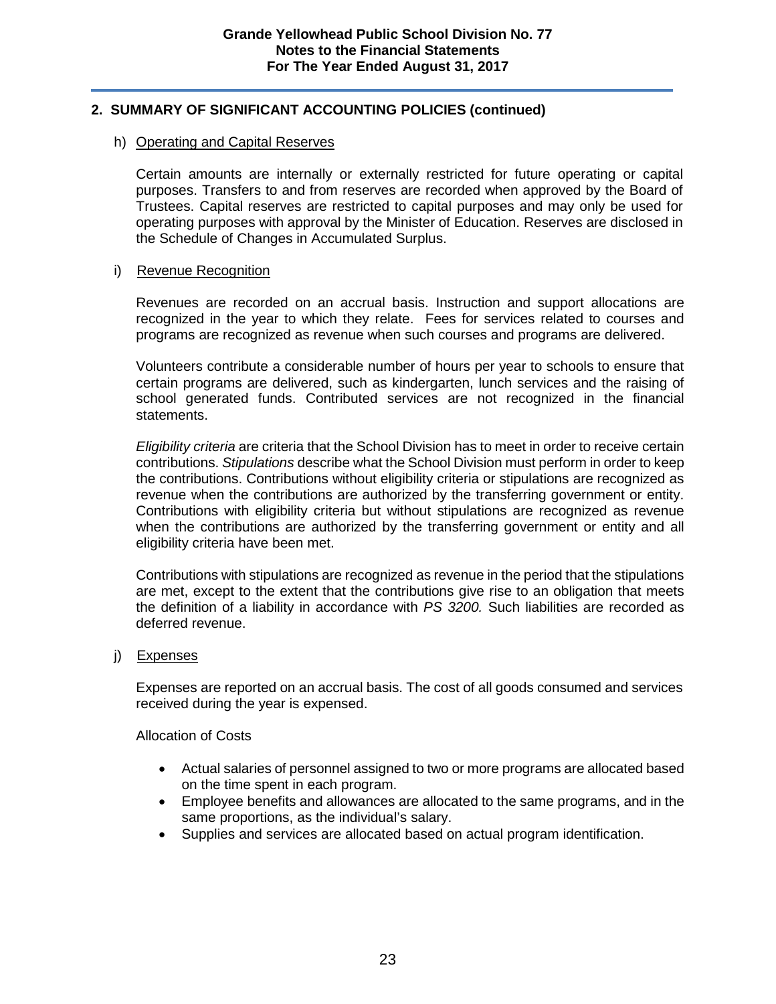#### h) Operating and Capital Reserves

Certain amounts are internally or externally restricted for future operating or capital purposes. Transfers to and from reserves are recorded when approved by the Board of Trustees. Capital reserves are restricted to capital purposes and may only be used for operating purposes with approval by the Minister of Education. Reserves are disclosed in the Schedule of Changes in Accumulated Surplus.

#### i) Revenue Recognition

Revenues are recorded on an accrual basis. Instruction and support allocations are recognized in the year to which they relate. Fees for services related to courses and programs are recognized as revenue when such courses and programs are delivered.

Volunteers contribute a considerable number of hours per year to schools to ensure that certain programs are delivered, such as kindergarten, lunch services and the raising of school generated funds. Contributed services are not recognized in the financial statements.

*Eligibility criteria* are criteria that the School Division has to meet in order to receive certain contributions. *Stipulations* describe what the School Division must perform in order to keep the contributions. Contributions without eligibility criteria or stipulations are recognized as revenue when the contributions are authorized by the transferring government or entity. Contributions with eligibility criteria but without stipulations are recognized as revenue when the contributions are authorized by the transferring government or entity and all eligibility criteria have been met.

Contributions with stipulations are recognized as revenue in the period that the stipulations are met, except to the extent that the contributions give rise to an obligation that meets the definition of a liability in accordance with *PS 3200.* Such liabilities are recorded as deferred revenue.

#### j) Expenses

Expenses are reported on an accrual basis. The cost of all goods consumed and services received during the year is expensed.

Allocation of Costs

- Actual salaries of personnel assigned to two or more programs are allocated based on the time spent in each program.
- Employee benefits and allowances are allocated to the same programs, and in the same proportions, as the individual's salary.
- Supplies and services are allocated based on actual program identification.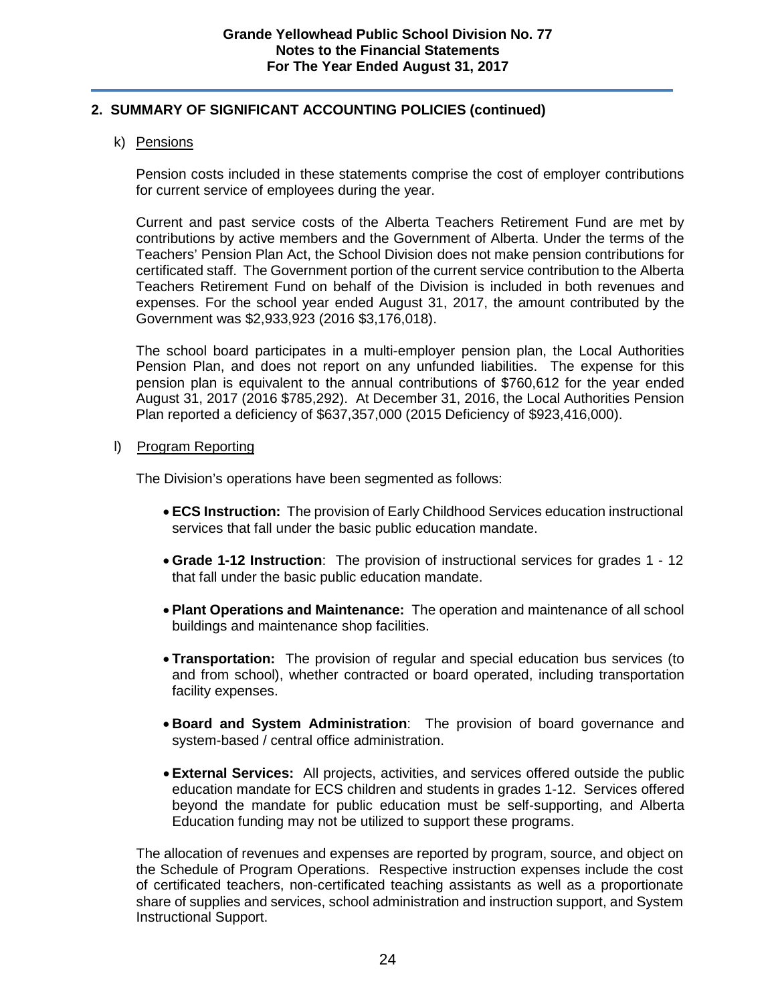#### k) Pensions

Pension costs included in these statements comprise the cost of employer contributions for current service of employees during the year.

Current and past service costs of the Alberta Teachers Retirement Fund are met by contributions by active members and the Government of Alberta. Under the terms of the Teachers' Pension Plan Act, the School Division does not make pension contributions for certificated staff. The Government portion of the current service contribution to the Alberta Teachers Retirement Fund on behalf of the Division is included in both revenues and expenses. For the school year ended August 31, 2017, the amount contributed by the Government was \$2,933,923 (2016 \$3,176,018).

The school board participates in a multi-employer pension plan, the Local Authorities Pension Plan, and does not report on any unfunded liabilities. The expense for this pension plan is equivalent to the annual contributions of \$760,612 for the year ended August 31, 2017 (2016 \$785,292). At December 31, 2016, the Local Authorities Pension Plan reported a deficiency of \$637,357,000 (2015 Deficiency of \$923,416,000).

#### l) Program Reporting

The Division's operations have been segmented as follows:

- **ECS Instruction:** The provision of Early Childhood Services education instructional services that fall under the basic public education mandate.
- **Grade 1-12 Instruction**: The provision of instructional services for grades 1 12 that fall under the basic public education mandate.
- **Plant Operations and Maintenance:** The operation and maintenance of all school buildings and maintenance shop facilities.
- **Transportation:** The provision of regular and special education bus services (to and from school), whether contracted or board operated, including transportation facility expenses.
- **Board and System Administration**: The provision of board governance and system-based / central office administration.
- **External Services:** All projects, activities, and services offered outside the public education mandate for ECS children and students in grades 1-12. Services offered beyond the mandate for public education must be self-supporting, and Alberta Education funding may not be utilized to support these programs.

The allocation of revenues and expenses are reported by program, source, and object on the Schedule of Program Operations. Respective instruction expenses include the cost of certificated teachers, non-certificated teaching assistants as well as a proportionate share of supplies and services, school administration and instruction support, and System Instructional Support.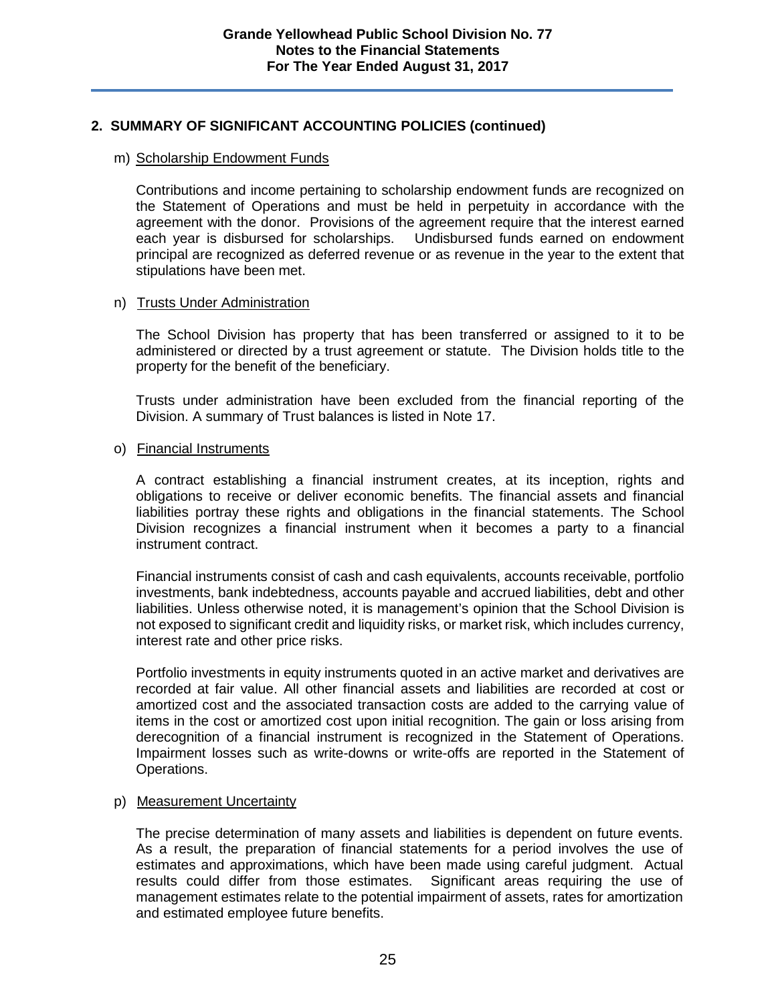#### m) Scholarship Endowment Funds

Contributions and income pertaining to scholarship endowment funds are recognized on the Statement of Operations and must be held in perpetuity in accordance with the agreement with the donor. Provisions of the agreement require that the interest earned each year is disbursed for scholarships. Undisbursed funds earned on endowment principal are recognized as deferred revenue or as revenue in the year to the extent that stipulations have been met.

#### n) Trusts Under Administration

The School Division has property that has been transferred or assigned to it to be administered or directed by a trust agreement or statute. The Division holds title to the property for the benefit of the beneficiary.

Trusts under administration have been excluded from the financial reporting of the Division. A summary of Trust balances is listed in Note 17.

#### o) Financial Instruments

A contract establishing a financial instrument creates, at its inception, rights and obligations to receive or deliver economic benefits. The financial assets and financial liabilities portray these rights and obligations in the financial statements. The School Division recognizes a financial instrument when it becomes a party to a financial instrument contract.

Financial instruments consist of cash and cash equivalents, accounts receivable, portfolio investments, bank indebtedness, accounts payable and accrued liabilities, debt and other liabilities. Unless otherwise noted, it is management's opinion that the School Division is not exposed to significant credit and liquidity risks, or market risk, which includes currency, interest rate and other price risks.

Portfolio investments in equity instruments quoted in an active market and derivatives are recorded at fair value. All other financial assets and liabilities are recorded at cost or amortized cost and the associated transaction costs are added to the carrying value of items in the cost or amortized cost upon initial recognition. The gain or loss arising from derecognition of a financial instrument is recognized in the Statement of Operations. Impairment losses such as write-downs or write-offs are reported in the Statement of Operations.

#### p) Measurement Uncertainty

The precise determination of many assets and liabilities is dependent on future events. As a result, the preparation of financial statements for a period involves the use of estimates and approximations, which have been made using careful judgment. Actual results could differ from those estimates. Significant areas requiring the use of management estimates relate to the potential impairment of assets, rates for amortization and estimated employee future benefits.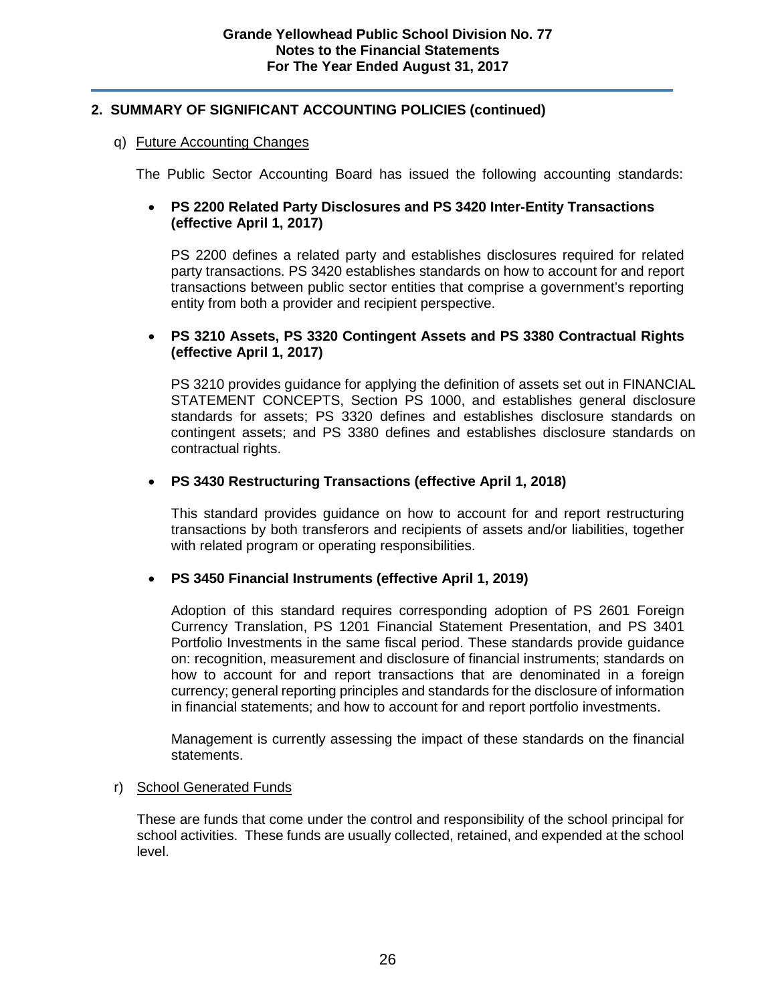#### q) Future Accounting Changes

The Public Sector Accounting Board has issued the following accounting standards:

#### • **PS 2200 Related Party Disclosures and PS 3420 Inter-Entity Transactions (effective April 1, 2017)**

PS 2200 defines a related party and establishes disclosures required for related party transactions. PS 3420 establishes standards on how to account for and report transactions between public sector entities that comprise a government's reporting entity from both a provider and recipient perspective.

## • **PS 3210 Assets, PS 3320 Contingent Assets and PS 3380 Contractual Rights (effective April 1, 2017)**

PS 3210 provides guidance for applying the definition of assets set out in FINANCIAL STATEMENT CONCEPTS, Section PS 1000, and establishes general disclosure standards for assets; PS 3320 defines and establishes disclosure standards on contingent assets; and PS 3380 defines and establishes disclosure standards on contractual rights.

#### • **PS 3430 Restructuring Transactions (effective April 1, 2018)**

This standard provides guidance on how to account for and report restructuring transactions by both transferors and recipients of assets and/or liabilities, together with related program or operating responsibilities.

## • **PS 3450 Financial Instruments (effective April 1, 2019)**

Adoption of this standard requires corresponding adoption of PS 2601 Foreign Currency Translation, PS 1201 Financial Statement Presentation, and PS 3401 Portfolio Investments in the same fiscal period. These standards provide guidance on: recognition, measurement and disclosure of financial instruments; standards on how to account for and report transactions that are denominated in a foreign currency; general reporting principles and standards for the disclosure of information in financial statements; and how to account for and report portfolio investments.

Management is currently assessing the impact of these standards on the financial statements.

#### r) School Generated Funds

These are funds that come under the control and responsibility of the school principal for school activities. These funds are usually collected, retained, and expended at the school level.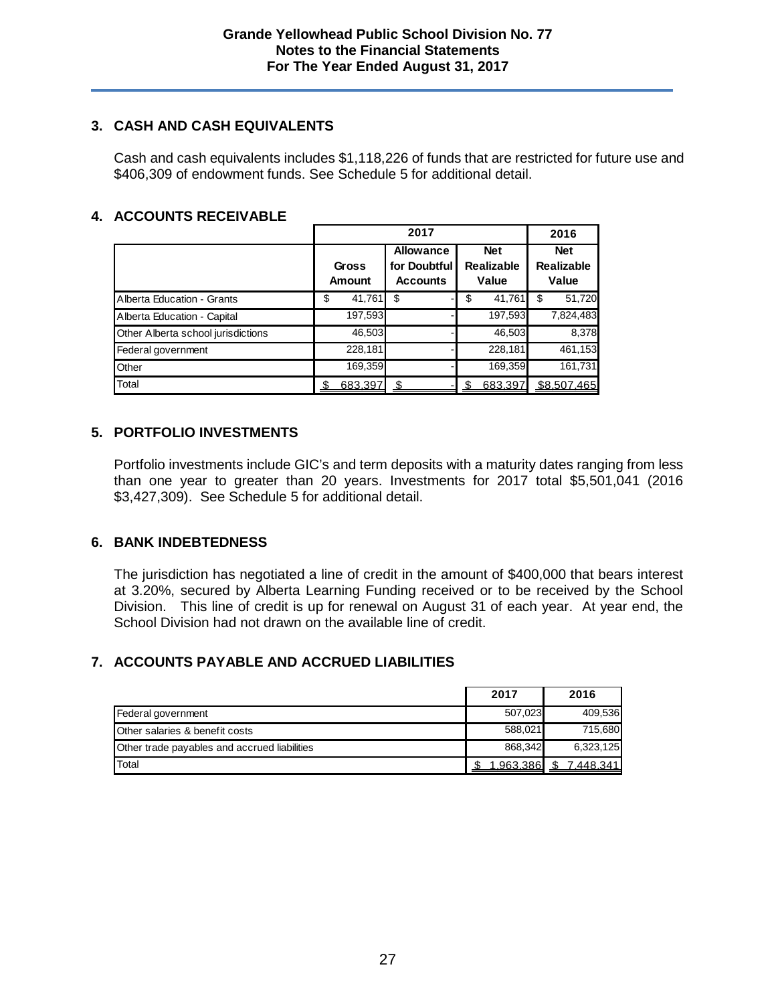# **3. CASH AND CASH EQUIVALENTS**

Cash and cash equivalents includes \$1,118,226 of funds that are restricted for future use and \$406,309 of endowment funds. See Schedule 5 for additional detail.

# **4. ACCOUNTS RECEIVABLE**

|                                    |                 | 2017                                                |                                          |                                          |  |  |  |  |  |  |  |
|------------------------------------|-----------------|-----------------------------------------------------|------------------------------------------|------------------------------------------|--|--|--|--|--|--|--|
|                                    | Gross<br>Amount | <b>Allowance</b><br>for Doubtful<br><b>Accounts</b> | <b>Net</b><br><b>Realizable</b><br>Value | <b>Net</b><br><b>Realizable</b><br>Value |  |  |  |  |  |  |  |
| Alberta Education - Grants         | 41,761<br>\$    | \$                                                  | 41,761<br>S                              | 51,720<br>\$                             |  |  |  |  |  |  |  |
| Alberta Education - Capital        | 197,593         |                                                     | 197,593                                  | 7,824,483                                |  |  |  |  |  |  |  |
| Other Alberta school jurisdictions | 46,503          |                                                     | 46,503                                   | 8,378                                    |  |  |  |  |  |  |  |
| Federal government                 | 228,181         |                                                     | 228,181                                  | 461,153                                  |  |  |  |  |  |  |  |
| Other                              | 169,359         |                                                     | 169,359                                  | 161,731                                  |  |  |  |  |  |  |  |
| Total                              | 683.397         |                                                     | 683.397                                  | \$8,507,465                              |  |  |  |  |  |  |  |

# **5. PORTFOLIO INVESTMENTS**

Portfolio investments include GIC's and term deposits with a maturity dates ranging from less than one year to greater than 20 years. Investments for 2017 total \$5,501,041 (2016 \$3,427,309). See Schedule 5 for additional detail.

## **6. BANK INDEBTEDNESS**

The jurisdiction has negotiated a line of credit in the amount of \$400,000 that bears interest at 3.20%, secured by Alberta Learning Funding received or to be received by the School Division. This line of credit is up for renewal on August 31 of each year. At year end, the School Division had not drawn on the available line of credit.

## **7. ACCOUNTS PAYABLE AND ACCRUED LIABILITIES**

|                                              | 2017      | 2016      |
|----------------------------------------------|-----------|-----------|
| Federal government                           | 507,023   | 409,536   |
| Other salaries & benefit costs               | 588,021   | 715,680   |
| Other trade payables and accrued liabilities | 868.342   | 6,323,125 |
| Total                                        | 1.963.386 | 7.448.341 |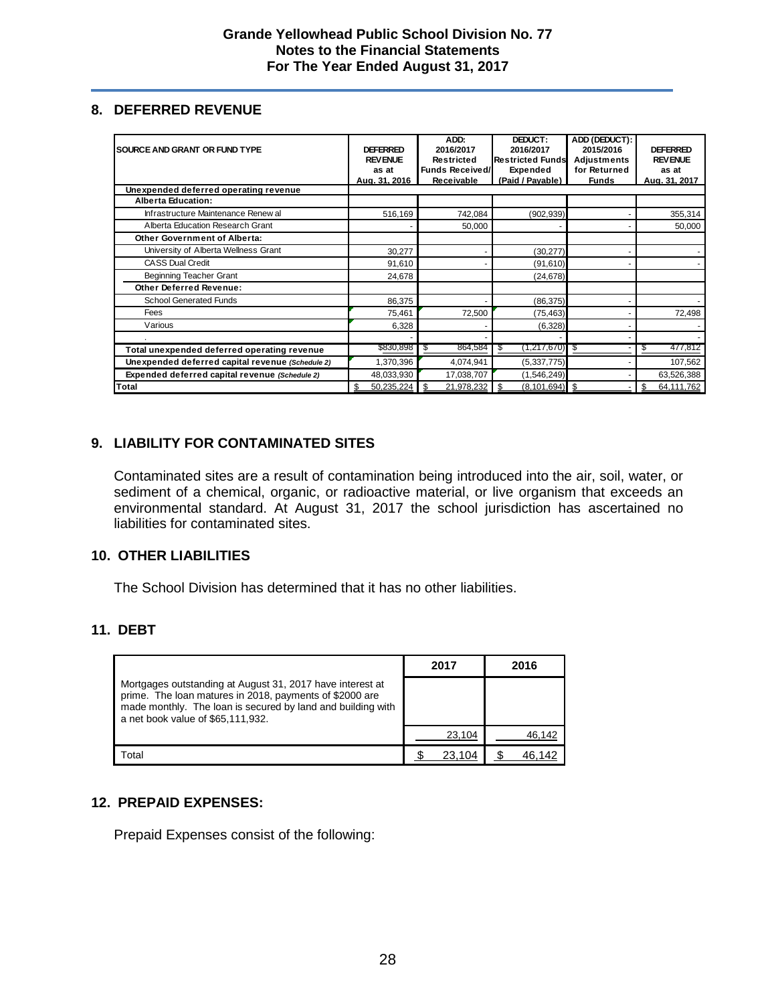#### **8. DEFERRED REVENUE**

| SOURCE AND GRANT OR FUND TYPE                    | <b>DEFERRED</b><br><b>REVENUE</b><br>as at<br>Aug. 31, 2016 | ADD:<br>2016/2017<br><b>Restricted</b><br><b>Funds Received/</b><br>Receivable | DEDUCT:<br>2016/2017<br><b>Restricted Funds</b><br>Expended<br>(Paid / Pavable) | ADD (DEDUCT):<br>2015/2016<br><b>Adjustments</b><br>for Returned<br><b>Funds</b> | <b>DEFERRED</b><br><b>REVENUE</b><br>as at<br>Aug. 31, 2017 |
|--------------------------------------------------|-------------------------------------------------------------|--------------------------------------------------------------------------------|---------------------------------------------------------------------------------|----------------------------------------------------------------------------------|-------------------------------------------------------------|
| Unexpended deferred operating revenue            |                                                             |                                                                                |                                                                                 |                                                                                  |                                                             |
| <b>Alberta Education:</b>                        |                                                             |                                                                                |                                                                                 |                                                                                  |                                                             |
| Infrastructure Maintenance Renew al              | 516,169                                                     | 742,084                                                                        | (902, 939)                                                                      |                                                                                  | 355,314                                                     |
| Alberta Education Research Grant                 |                                                             | 50,000                                                                         |                                                                                 |                                                                                  | 50,000                                                      |
| <b>Other Government of Alberta:</b>              |                                                             |                                                                                |                                                                                 |                                                                                  |                                                             |
| University of Alberta Wellness Grant             | 30,277                                                      |                                                                                | (30, 277)                                                                       |                                                                                  |                                                             |
| <b>CASS Dual Credit</b>                          | 91,610                                                      |                                                                                | (91, 610)                                                                       |                                                                                  |                                                             |
| Beginning Teacher Grant                          | 24.678                                                      |                                                                                | (24, 678)                                                                       |                                                                                  |                                                             |
| Other Deferred Revenue:                          |                                                             |                                                                                |                                                                                 |                                                                                  |                                                             |
| <b>School Generated Funds</b>                    | 86,375                                                      |                                                                                | (86, 375)                                                                       |                                                                                  |                                                             |
| Fees                                             | 75,461                                                      | 72,500                                                                         | (75, 463)                                                                       |                                                                                  | 72,498                                                      |
| Various                                          | 6,328                                                       |                                                                                | (6,328)                                                                         |                                                                                  |                                                             |
|                                                  |                                                             |                                                                                |                                                                                 |                                                                                  |                                                             |
| Total unexpended deferred operating revenue      | \$830,898                                                   | 864,584                                                                        | (1, 217, 670)                                                                   | .ზ                                                                               | 477,812                                                     |
| Unexpended deferred capital revenue (Schedule 2) | 1,370,396                                                   | 4,074,941                                                                      | (5,337,775)                                                                     |                                                                                  | 107,562                                                     |
| Expended deferred capital revenue (Schedule 2)   | 48,033,930                                                  | 17,038,707                                                                     | (1,546,249)                                                                     |                                                                                  | 63,526,388                                                  |
| Total                                            | \$<br>50.235.224                                            | \$<br>21.978.232                                                               | (8.101.694)                                                                     | -\$                                                                              | \$<br>64.111.762                                            |

# **9. LIABILITY FOR CONTAMINATED SITES**

Contaminated sites are a result of contamination being introduced into the air, soil, water, or sediment of a chemical, organic, or radioactive material, or live organism that exceeds an environmental standard. At August 31, 2017 the school jurisdiction has ascertained no liabilities for contaminated sites.

## **10. OTHER LIABILITIES**

The School Division has determined that it has no other liabilities.

# **11. DEBT**

|                                                                                                                                                                                                                          | 2017   | 2016   |
|--------------------------------------------------------------------------------------------------------------------------------------------------------------------------------------------------------------------------|--------|--------|
| Mortgages outstanding at August 31, 2017 have interest at<br>prime. The loan matures in 2018, payments of \$2000 are<br>made monthly. The loan is secured by land and building with<br>a net book value of \$65,111,932. |        |        |
|                                                                                                                                                                                                                          | 23.104 | 46,142 |
| ⊺otal                                                                                                                                                                                                                    | 23.104 | 46 142 |

## **12. PREPAID EXPENSES:**

Prepaid Expenses consist of the following: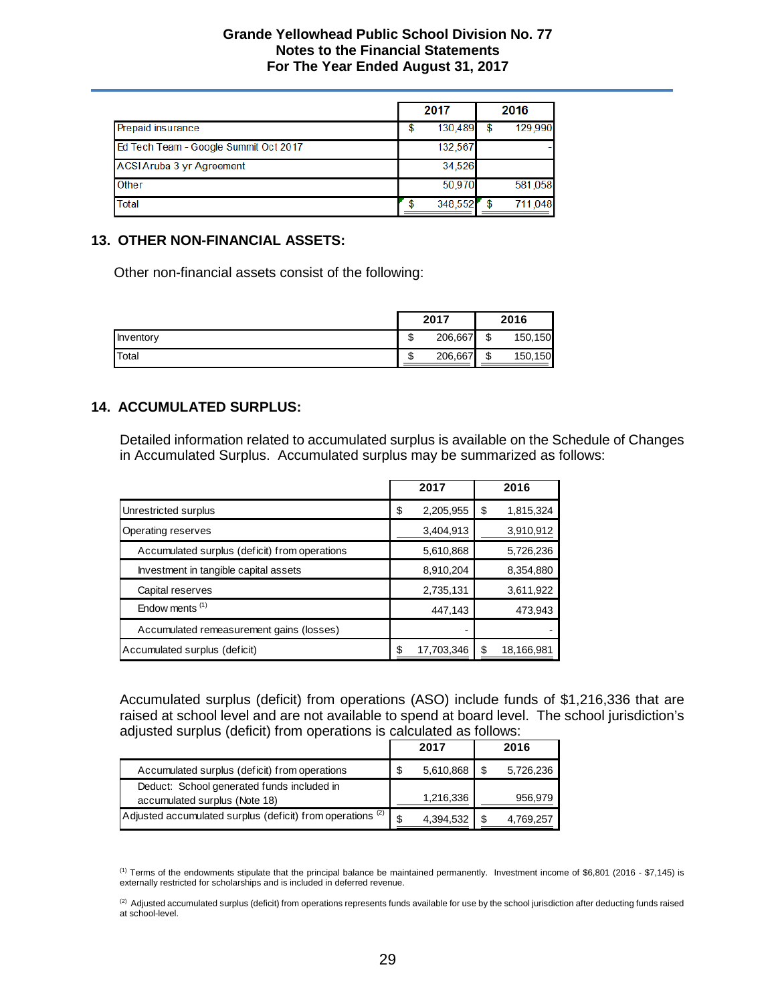|                                       | 2017    | 2016 |         |  |
|---------------------------------------|---------|------|---------|--|
| <b>Prepaid insurance</b>              | 130,489 | \$   | 129,990 |  |
| Ed Tech Team - Google Summit Oct 2017 | 132,567 |      |         |  |
| ACSI Aruba 3 yr Agreement             | 34,526  |      |         |  |
| <b>Other</b>                          | 50,970  |      | 581,058 |  |
| <b>Total</b>                          | 348,552 |      | 711.048 |  |

#### **13. OTHER NON-FINANCIAL ASSETS:**

Other non-financial assets consist of the following:

|           |         | 2017    | 2016    |         |  |
|-----------|---------|---------|---------|---------|--|
| Inventory | ሖ<br>۰D | 206,667 | σ<br>J  | 150,150 |  |
| Total     | ሖ<br>۰D | 206,667 | ሖ<br>۰D | 150,150 |  |

## **14. ACCUMULATED SURPLUS:**

Detailed information related to accumulated surplus is available on the Schedule of Changes in Accumulated Surplus. Accumulated surplus may be summarized as follows:

|                                               |    | 2017       | 2016            |
|-----------------------------------------------|----|------------|-----------------|
| Unrestricted surplus                          | \$ | 2,205,955  | \$<br>1,815,324 |
| Operating reserves                            |    | 3,404,913  | 3,910,912       |
| Accumulated surplus (deficit) from operations |    | 5,610,868  | 5,726,236       |
| Investment in tangible capital assets         |    | 8,910,204  | 8,354,880       |
| Capital reserves                              |    | 2,735,131  | 3,611,922       |
| Endow ments <sup>(1)</sup>                    |    | 447,143    | 473,943         |
| Accumulated remeasurement gains (losses)      |    |            |                 |
| Accumulated surplus (deficit)                 | ደ. | 17,703,346 | 18,166,981      |

Accumulated surplus (deficit) from operations (ASO) include funds of \$1,216,336 that are raised at school level and are not available to spend at board level. The school jurisdiction's adjusted surplus (deficit) from operations is calculated as follows:

|                                                                             | 2017            | 2016      |
|-----------------------------------------------------------------------------|-----------------|-----------|
| Accumulated surplus (deficit) from operations                               | \$<br>5,610,868 | 5,726,236 |
| Deduct: School generated funds included in<br>accumulated surplus (Note 18) | 1,216,336       | 956,979   |
| Adjusted accumulated surplus (deficit) from operations <sup>(2)</sup>       | \$<br>4,394,532 | 4,769,257 |

<sup>(1)</sup> Terms of the endowments stipulate that the principal balance be maintained permanently. Investment income of \$6,801 (2016 - \$7,145) is externally restricted for scholarships and is included in deferred revenue.

 $^{(2)}$  Adjusted accumulated surplus (deficit) from operations represents funds available for use by the school jurisdiction after deducting funds raised at school-level.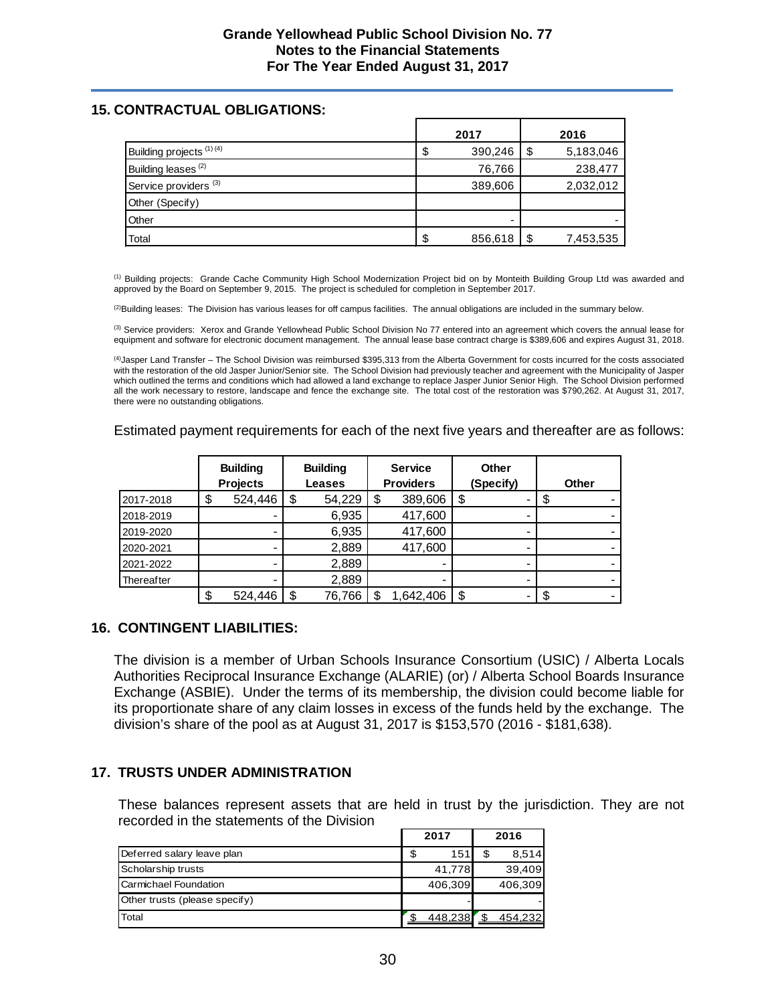## **15. CONTRACTUAL OBLIGATIONS:**

|                                  | 2017          | 2016            |
|----------------------------------|---------------|-----------------|
| Building projects (1) (4)        | \$<br>390,246 | \$<br>5,183,046 |
| Building leases <sup>(2)</sup>   | 76,766        | 238,477         |
| Service providers <sup>(3)</sup> | 389,606       | 2,032,012       |
| Other (Specify)                  |               |                 |
| Other                            | -             |                 |
| Total                            | \$<br>856,618 | \$<br>7,453,535 |

(1) Building projects: Grande Cache Community High School Modernization Project bid on by Monteith Building Group Ltd was awarded and approved by the Board on September 9, 2015. The project is scheduled for completion in September 2017.

<sup>(2)</sup>Building leases: The Division has various leases for off campus facilities. The annual obligations are included in the summary below.

<sup>(3)</sup> Service providers: Xerox and Grande Yellowhead Public School Division No 77 entered into an agreement which covers the annual lease for equipment and software for electronic document management. The annual lease base contract charge is \$389,606 and expires August 31, 2018.

(4)Jasper Land Transfer – The School Division was reimbursed \$395,313 from the Alberta Government for costs incurred for the costs associated with the restoration of the old Jasper Junior/Senior site. The School Division had previously teacher and agreement with the Municipality of Jasper which outlined the terms and conditions which had allowed a land exchange to replace Jasper Junior Senior High. The School Division performed all the work necessary to restore, landscape and fence the exchange site. The total cost of the restoration was \$790,262. At August 31, 2017, there were no outstanding obligations.

Estimated payment requirements for each of the next five years and thereafter are as follows:

|            | <b>Building</b><br><b>Projects</b> | <b>Building</b><br><b>Leases</b> | <b>Service</b><br><b>Providers</b> |           |      |  |    | Other<br>(Specify) |  | Other |
|------------|------------------------------------|----------------------------------|------------------------------------|-----------|------|--|----|--------------------|--|-------|
| 2017-2018  | \$<br>524,446                      | \$<br>54,229                     | \$                                 | 389,606   | S    |  | \$ |                    |  |       |
| 2018-2019  |                                    | 6,935                            |                                    | 417,600   |      |  |    |                    |  |       |
| 2019-2020  |                                    | 6,935                            |                                    | 417,600   |      |  |    |                    |  |       |
| 2020-2021  |                                    | 2,889                            |                                    | 417,600   |      |  |    |                    |  |       |
| 2021-2022  |                                    | 2,889                            |                                    |           |      |  |    |                    |  |       |
| Thereafter |                                    | 2,889                            |                                    |           |      |  |    |                    |  |       |
|            | 524,446                            | \$<br>76,766                     | S                                  | 1,642,406 | - \$ |  | æ  |                    |  |       |

#### **16. CONTINGENT LIABILITIES:**

The division is a member of Urban Schools Insurance Consortium (USIC) / Alberta Locals Authorities Reciprocal Insurance Exchange (ALARIE) (or) / Alberta School Boards Insurance Exchange (ASBIE). Under the terms of its membership, the division could become liable for its proportionate share of any claim losses in excess of the funds held by the exchange. The division's share of the pool as at August 31, 2017 is \$153,570 (2016 - \$181,638).

## **17. TRUSTS UNDER ADMINISTRATION**

These balances represent assets that are held in trust by the jurisdiction. They are not recorded in the statements of the Division

|                               | 2017    | 2016 |         |  |
|-------------------------------|---------|------|---------|--|
| Deferred salary leave plan    | 151     |      | 8,514   |  |
| Scholarship trusts            | 41,778  |      | 39,409  |  |
| Carmichael Foundation         | 406,309 |      | 406,309 |  |
| Other trusts (please specify) |         |      |         |  |
| Total                         | 448.238 |      | 454.232 |  |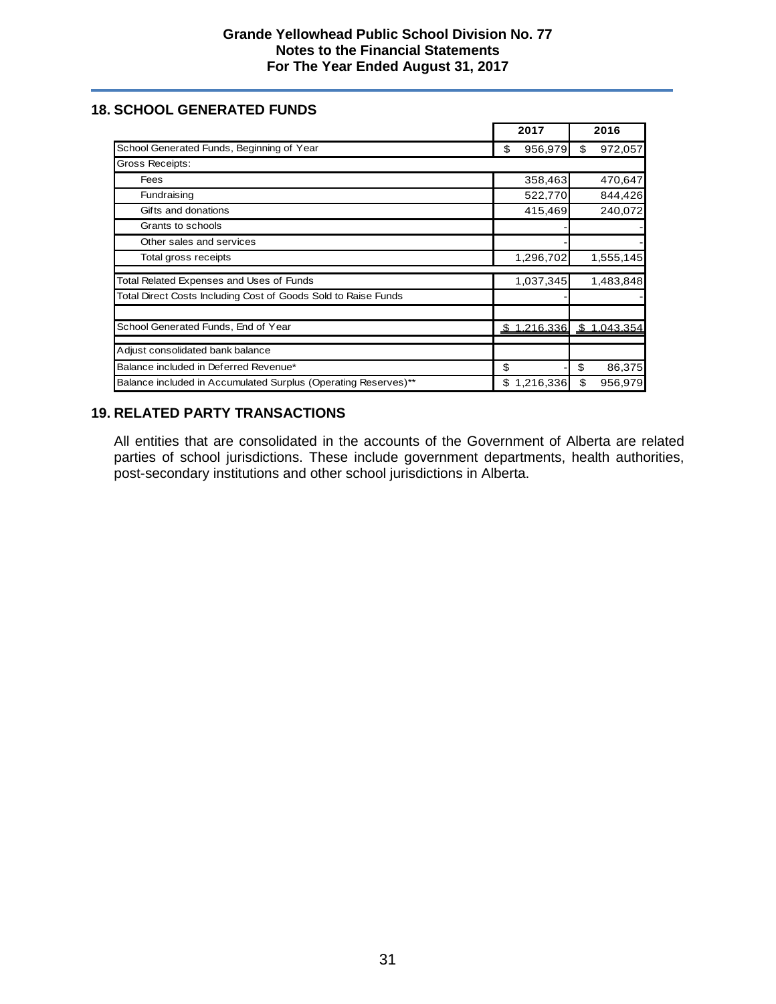#### **Grande Yellowhead Public School Division No. 77 Notes to the Financial Statements For The Year Ended August 31, 2017**

## **18. SCHOOL GENERATED FUNDS**

|                                                                | 2017            | 2016          |
|----------------------------------------------------------------|-----------------|---------------|
| School Generated Funds, Beginning of Year                      | \$<br>956,979   | \$<br>972,057 |
| Gross Receipts:                                                |                 |               |
| Fees                                                           | 358,463         | 470,647       |
| Fundraising                                                    | 522,770         | 844,426       |
| Gifts and donations                                            | 415,469         | 240,072       |
| Grants to schools                                              |                 |               |
| Other sales and services                                       |                 |               |
| Total gross receipts                                           | 1,296,702       | 1,555,145     |
| Total Related Expenses and Uses of Funds                       | 1,037,345       | 1,483,848     |
| Total Direct Costs Including Cost of Goods Sold to Raise Funds |                 |               |
| School Generated Funds, End of Year                            | \$1.216.336     | \$1.043.354   |
| Adjust consolidated bank balance                               |                 |               |
| Balance included in Deferred Revenue*                          | \$              | \$<br>86,375  |
| Balance included in Accumulated Surplus (Operating Reserves)** | \$<br>1,216,336 | \$<br>956,979 |

## **19. RELATED PARTY TRANSACTIONS**

All entities that are consolidated in the accounts of the Government of Alberta are related parties of school jurisdictions. These include government departments, health authorities, post-secondary institutions and other school jurisdictions in Alberta.